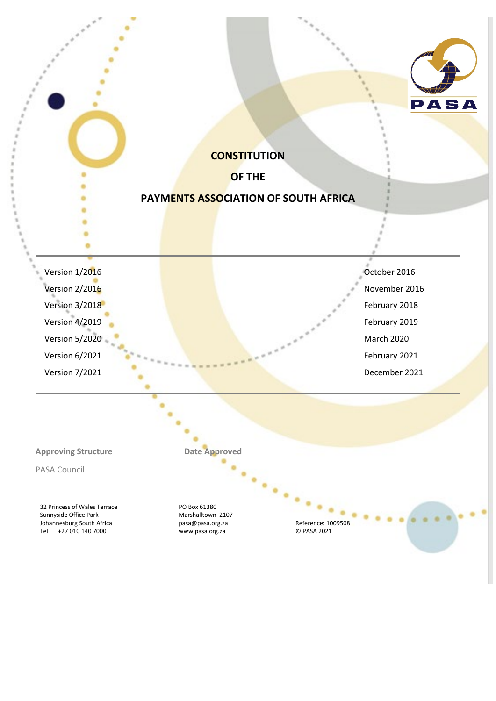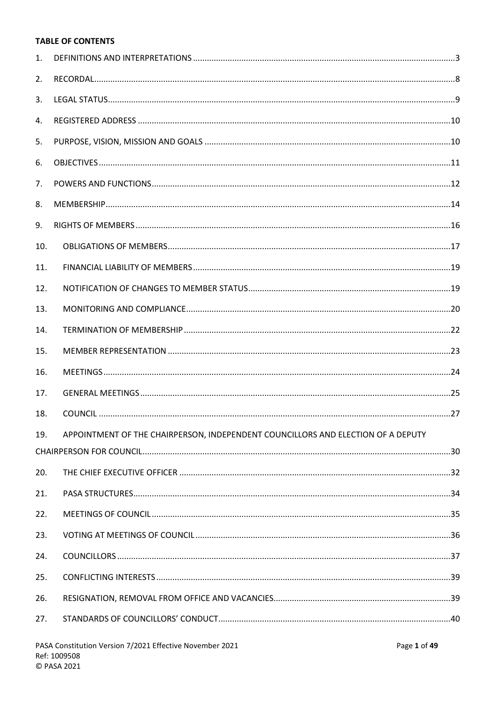# **TABLE OF CONTENTS**

|     | PASA Constitution Version 7/2021 Effective November 2021                         | Page 1 of 49 |
|-----|----------------------------------------------------------------------------------|--------------|
| 27. |                                                                                  |              |
| 26. |                                                                                  |              |
| 25. |                                                                                  |              |
| 24. |                                                                                  |              |
| 23. |                                                                                  |              |
| 22. |                                                                                  |              |
| 21. |                                                                                  |              |
| 20. |                                                                                  |              |
|     |                                                                                  |              |
| 19. | APPOINTMENT OF THE CHAIRPERSON, INDEPENDENT COUNCILLORS AND ELECTION OF A DEPUTY |              |
| 18. |                                                                                  |              |
| 17. |                                                                                  |              |
| 16. |                                                                                  |              |
| 15. |                                                                                  |              |
| 14. |                                                                                  |              |
| 13. |                                                                                  |              |
| 12. |                                                                                  |              |
| 11. |                                                                                  |              |
| 10. |                                                                                  |              |
| 9.  |                                                                                  |              |
| 8.  |                                                                                  |              |
| 7.  |                                                                                  |              |
| 6.  |                                                                                  |              |
| 5.  |                                                                                  |              |
| 4.  |                                                                                  |              |
| 3.  |                                                                                  |              |
| 2.  |                                                                                  |              |
| 1.  |                                                                                  |              |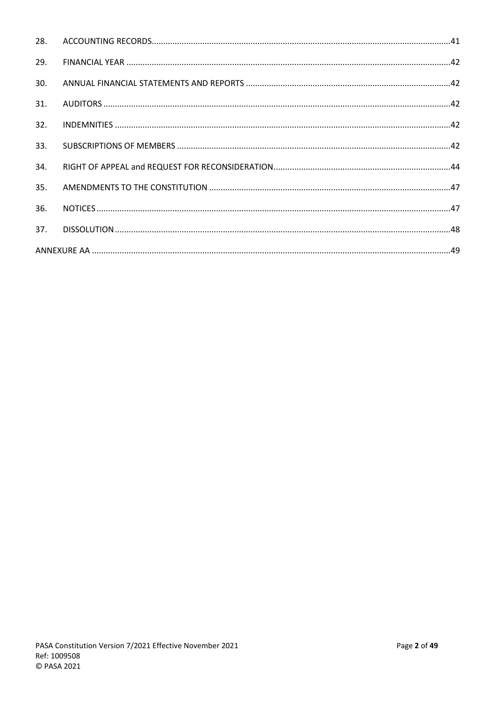| 28. |  |
|-----|--|
| 29. |  |
| 30. |  |
| 31. |  |
| 32. |  |
| 33. |  |
| 34. |  |
| 35. |  |
| 36. |  |
| 37. |  |
|     |  |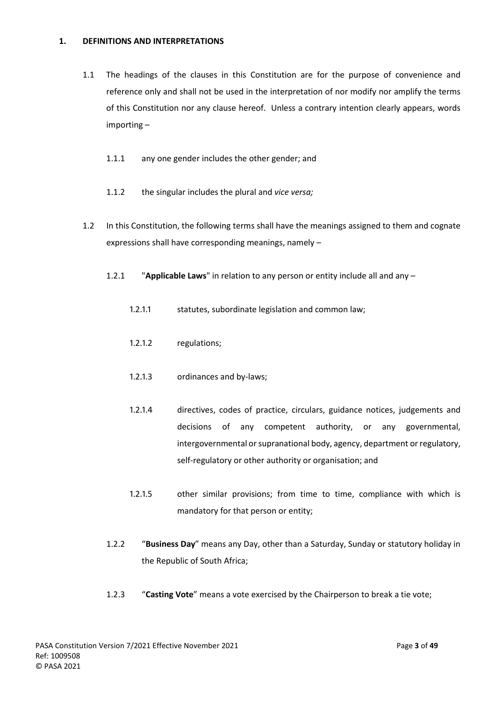## <span id="page-3-0"></span>**1. DEFINITIONS AND INTERPRETATIONS**

- 1.1 The headings of the clauses in this Constitution are for the purpose of convenience and reference only and shall not be used in the interpretation of nor modify nor amplify the terms of this Constitution nor any clause hereof. Unless a contrary intention clearly appears, words importing –
	- 1.1.1 any one gender includes the other gender; and
	- 1.1.2 the singular includes the plural and *vice versa;*
- 1.2 In this Constitution, the following terms shall have the meanings assigned to them and cognate expressions shall have corresponding meanings, namely –
	- 1.2.1 "**Applicable Laws**" in relation to any person or entity include all and any
		- 1.2.1.1 statutes, subordinate legislation and common law;
		- 1.2.1.2 regulations;
		- 1.2.1.3 ordinances and by-laws;
		- 1.2.1.4 directives, codes of practice, circulars, guidance notices, judgements and decisions of any competent authority, or any governmental, intergovernmental or supranational body, agency, department or regulatory, self-regulatory or other authority or organisation; and
		- 1.2.1.5 other similar provisions; from time to time, compliance with which is mandatory for that person or entity;
	- 1.2.2 "**Business Day**" means any Day, other than a Saturday, Sunday or statutory holiday in the Republic of South Africa;
	- 1.2.3 "**Casting Vote**" means a vote exercised by the Chairperson to break a tie vote;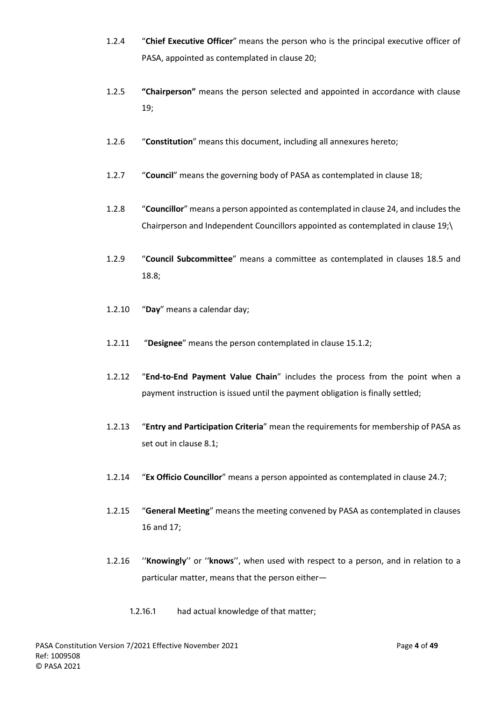- 1.2.4 "**Chief Executive Officer**" means the person who is the principal executive officer of PASA, appointed as contemplated in claus[e 20;](#page-32-0)
- 1.2.5 **"Chairperson"** means the person selected and appointed in accordance with clause 19;
- 1.2.6 "**Constitution**" means this document, including all annexures hereto;
- 1.2.7 "**Council**" means the governing body of PASA as contemplated in clause [18;](#page-27-0)
- 1.2.8 "**Councillor**" means a person appointed as contemplated in claus[e 24,](#page-37-0) and includes the Chairperson and Independent Councillors appointed as contemplated in clause 19;\
- 1.2.9 "**Council Subcommittee**" means a committee as contemplated in clauses [18.5](#page-28-0) and [18.8;](#page-29-0)
- 1.2.10 "**Day**" means a calendar day;
- 1.2.11 "**Designee**" means the person contemplated in claus[e 15.1.2;](#page-23-1)
- 1.2.12 "**End-to-End Payment Value Chain**" includes the process from the point when a payment instruction is issued until the payment obligation is finally settled;
- 1.2.13 "**Entry and Participation Criteria**" mean the requirements for membership of PASA as set out in clause [8.1;](#page-15-0)
- 1.2.14 "**Ex Officio Councillor**" means a person appointed as contemplated in clause [24.7;](#page-39-2)
- 1.2.15 "**General Meeting**" means the meeting convened by PASA as contemplated in clauses [16](#page-24-0) and [17;](#page-25-0)
- 1.2.16 ''**Knowingly**'' or ''**knows**'', when used with respect to a person, and in relation to a particular matter, means that the person either—
	- 1.2.16.1 had actual knowledge of that matter;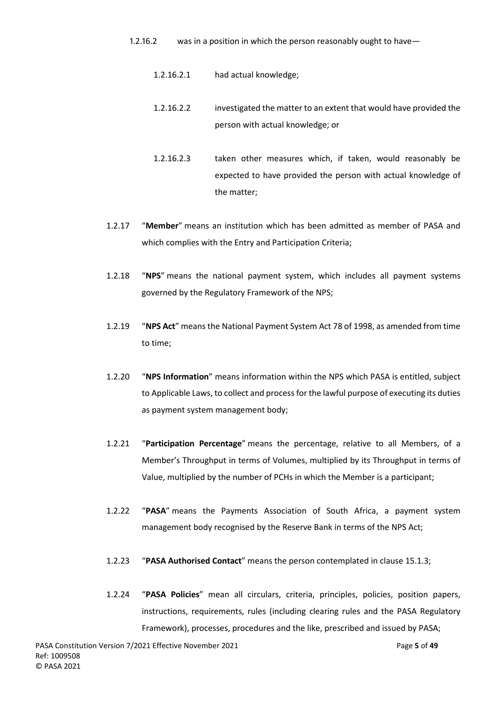- 1.2.16.2 was in a position in which the person reasonably ought to have—
	- 1.2.16.2.1 had actual knowledge;
	- 1.2.16.2.2 investigated the matter to an extent that would have provided the person with actual knowledge; or
	- 1.2.16.2.3 taken other measures which, if taken, would reasonably be expected to have provided the person with actual knowledge of the matter;
- 1.2.17 "**Member**" means an institution which has been admitted as member of PASA and which complies with the Entry and Participation Criteria;
- 1.2.18 "**NPS**" means the national payment system, which includes all payment systems governed by the Regulatory Framework of the NPS;
- 1.2.19 "**NPS Act**" means the National Payment System Act 78 of 1998, as amended from time to time;
- 1.2.20 "**NPS Information**" means information within the NPS which PASA is entitled, subject to Applicable Laws, to collect and process for the lawful purpose of executing its duties as payment system management body;
- 1.2.21 "**Participation Percentage**" means the percentage, relative to all Members, of a Member's Throughput in terms of Volumes, multiplied by its Throughput in terms of Value, multiplied by the number of PCHs in which the Member is a participant;
- 1.2.22 "**PASA**" means the Payments Association of South Africa, a payment system management body recognised by the Reserve Bank in terms of the NPS Act;
- 1.2.23 "**PASA Authorised Contact**" means the person contemplated in clause [15.1.3;](#page-24-1)
- 1.2.24 "**PASA Policies**" mean all circulars, criteria, principles, policies, position papers, instructions, requirements, rules (including clearing rules and the PASA Regulatory Framework), processes, procedures and the like, prescribed and issued by PASA;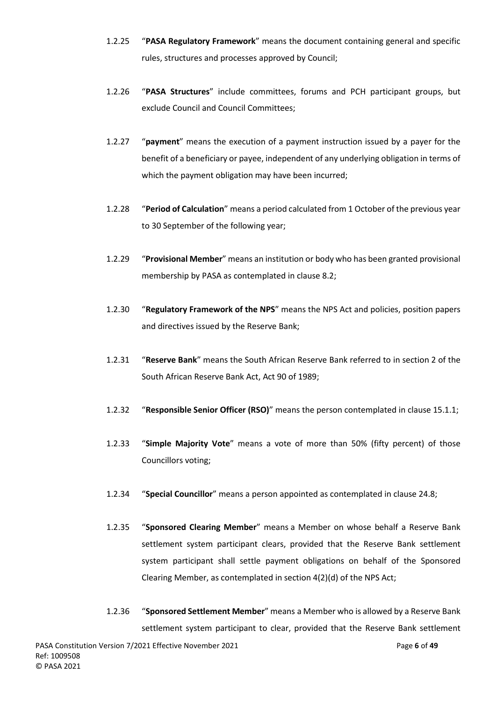- 1.2.25 "**PASA Regulatory Framework**" means the document containing general and specific rules, structures and processes approved by Council;
- 1.2.26 "**PASA Structures**" include committees, forums and PCH participant groups, but exclude Council and Council Committees;
- 1.2.27 "**payment**" means the execution of a payment instruction issued by a payer for the benefit of a beneficiary or payee, independent of any underlying obligation in terms of which the payment obligation may have been incurred;
- 1.2.28 "**Period of Calculation**" means a period calculated from 1 October of the previous year to 30 September of the following year;
- 1.2.29 "**Provisional Member**" means an institution or body who has been granted provisional membership by PASA as contemplated in clause [8.2;](#page-15-1)
- 1.2.30 "**Regulatory Framework of the NPS**" means the NPS Act and policies, position papers and directives issued by the Reserve Bank;
- 1.2.31 "**Reserve Bank**" means the South African Reserve Bank referred to in section 2 of the South African Reserve Bank Act, Act 90 of 1989;
- 1.2.32 "**Responsible Senior Officer (RSO)**" means the person contemplated in clause [15.1.1;](#page-23-2)
- 1.2.33 "**Simple Majority Vote**" means a vote of more than 50% (fifty percent) of those Councillors voting;
- 1.2.34 "**Special Councillor**" means a person appointed as contemplated in clause 24.8;
- 1.2.35 "**Sponsored Clearing Member**" means a Member on whose behalf a Reserve Bank settlement system participant clears, provided that the Reserve Bank settlement system participant shall settle payment obligations on behalf of the Sponsored Clearing Member, as contemplated in section 4(2)(d) of the NPS Act;
- 1.2.36 "**Sponsored Settlement Member**" means a Member who is allowed by a Reserve Bank settlement system participant to clear, provided that the Reserve Bank settlement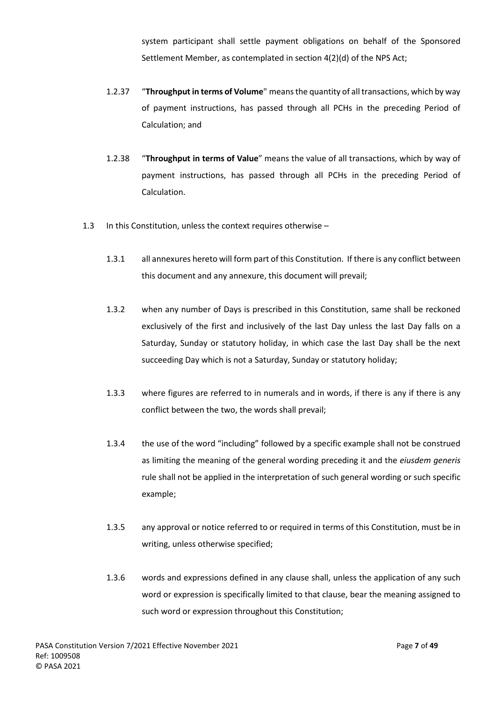system participant shall settle payment obligations on behalf of the Sponsored Settlement Member, as contemplated in section 4(2)(d) of the NPS Act;

- 1.2.37 "**Throughput in terms of Volume**" means the quantity of all transactions, which by way of payment instructions, has passed through all PCHs in the preceding Period of Calculation; and
- 1.2.38 "**Throughput in terms of Value**" means the value of all transactions, which by way of payment instructions, has passed through all PCHs in the preceding Period of Calculation.
- 1.3 In this Constitution, unless the context requires otherwise
	- 1.3.1 all annexures hereto will form part of this Constitution. If there is any conflict between this document and any annexure, this document will prevail;
	- 1.3.2 when any number of Days is prescribed in this Constitution, same shall be reckoned exclusively of the first and inclusively of the last Day unless the last Day falls on a Saturday, Sunday or statutory holiday, in which case the last Day shall be the next succeeding Day which is not a Saturday, Sunday or statutory holiday;
	- 1.3.3 where figures are referred to in numerals and in words, if there is any if there is any conflict between the two, the words shall prevail;
	- 1.3.4 the use of the word "including" followed by a specific example shall not be construed as limiting the meaning of the general wording preceding it and the *eiusdem generis*  rule shall not be applied in the interpretation of such general wording or such specific example;
	- 1.3.5 any approval or notice referred to or required in terms of this Constitution, must be in writing, unless otherwise specified;
	- 1.3.6 words and expressions defined in any clause shall, unless the application of any such word or expression is specifically limited to that clause, bear the meaning assigned to such word or expression throughout this Constitution;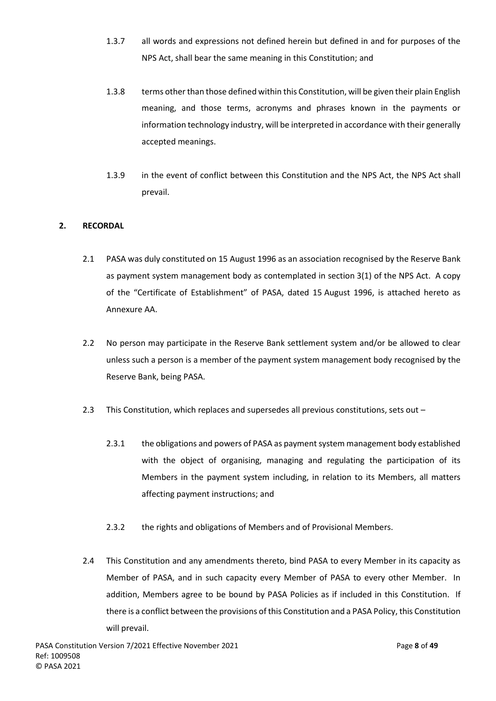- 1.3.7 all words and expressions not defined herein but defined in and for purposes of the NPS Act, shall bear the same meaning in this Constitution; and
- 1.3.8 terms other than those defined within this Constitution, will be given their plain English meaning, and those terms, acronyms and phrases known in the payments or information technology industry, will be interpreted in accordance with their generally accepted meanings.
- 1.3.9 in the event of conflict between this Constitution and the NPS Act, the NPS Act shall prevail.

# <span id="page-8-0"></span>**2. RECORDAL**

- 2.1 PASA was duly constituted on 15 August 1996 as an association recognised by the Reserve Bank as payment system management body as contemplated in section 3(1) of the NPS Act. A copy of the "Certificate of Establishment" of PASA, dated 15 August 1996, is attached hereto as Annexure AA.
- 2.2 No person may participate in the Reserve Bank settlement system and/or be allowed to clear unless such a person is a member of the payment system management body recognised by the Reserve Bank, being PASA.
- 2.3 This Constitution, which replaces and supersedes all previous constitutions, sets out
	- 2.3.1 the obligations and powers of PASA as payment system management body established with the object of organising, managing and regulating the participation of its Members in the payment system including, in relation to its Members, all matters affecting payment instructions; and
	- 2.3.2 the rights and obligations of Members and of Provisional Members.
- 2.4 This Constitution and any amendments thereto, bind PASA to every Member in its capacity as Member of PASA, and in such capacity every Member of PASA to every other Member. In addition, Members agree to be bound by PASA Policies as if included in this Constitution. If there is a conflict between the provisions of this Constitution and a PASA Policy, this Constitution will prevail.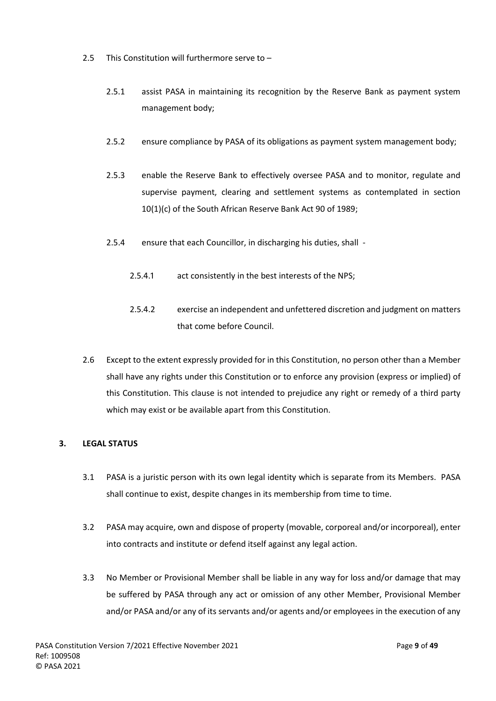- 2.5 This Constitution will furthermore serve to
	- 2.5.1 assist PASA in maintaining its recognition by the Reserve Bank as payment system management body;
	- 2.5.2 ensure compliance by PASA of its obligations as payment system management body;
	- 2.5.3 enable the Reserve Bank to effectively oversee PASA and to monitor, regulate and supervise payment, clearing and settlement systems as contemplated in section 10(1)(c) of the South African Reserve Bank Act 90 of 1989;
	- 2.5.4 ensure that each Councillor, in discharging his duties, shall
		- 2.5.4.1 act consistently in the best interests of the NPS;
		- 2.5.4.2 exercise an independent and unfettered discretion and judgment on matters that come before Council.
- 2.6 Except to the extent expressly provided for in this Constitution, no person other than a Member shall have any rights under this Constitution or to enforce any provision (express or implied) of this Constitution. This clause is not intended to prejudice any right or remedy of a third party which may exist or be available apart from this Constitution.

# <span id="page-9-0"></span>**3. LEGAL STATUS**

- 3.1 PASA is a juristic person with its own legal identity which is separate from its Members. PASA shall continue to exist, despite changes in its membership from time to time.
- 3.2 PASA may acquire, own and dispose of property (movable, corporeal and/or incorporeal), enter into contracts and institute or defend itself against any legal action.
- 3.3 No Member or Provisional Member shall be liable in any way for loss and/or damage that may be suffered by PASA through any act or omission of any other Member, Provisional Member and/or PASA and/or any of its servants and/or agents and/or employees in the execution of any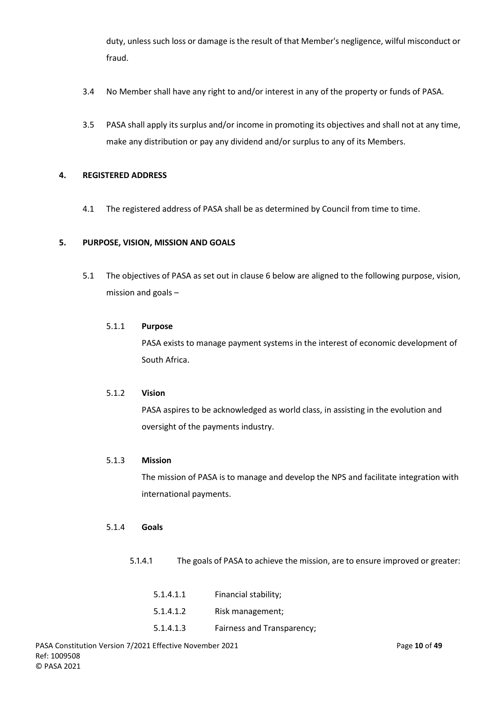duty, unless such loss or damage is the result of that Member's negligence, wilful misconduct or fraud.

- 3.4 No Member shall have any right to and/or interest in any of the property or funds of PASA.
- 3.5 PASA shall apply its surplus and/or income in promoting its objectives and shall not at any time, make any distribution or pay any dividend and/or surplus to any of its Members.

## <span id="page-10-0"></span>**4. REGISTERED ADDRESS**

4.1 The registered address of PASA shall be as determined by Council from time to time.

## <span id="page-10-1"></span>**5. PURPOSE, VISION, MISSION AND GOALS**

5.1 The objectives of PASA as set out in clause [6](#page-11-0) below are aligned to the following purpose, vision, mission and goals –

## 5.1.1 **Purpose**

PASA exists to manage payment systems in the interest of economic development of South Africa.

## 5.1.2 **Vision**

PASA aspires to be acknowledged as world class, in assisting in the evolution and oversight of the payments industry.

## 5.1.3 **Mission**

The mission of PASA is to manage and develop the NPS and facilitate integration with international payments.

## 5.1.4 **Goals**

5.1.4.1 The goals of PASA to achieve the mission, are to ensure improved or greater:

| 5.1.4.1.1 | Financial stability;       |
|-----------|----------------------------|
| 5.1.4.1.2 | Risk management;           |
| 5.1.4.1.3 | Fairness and Transparency; |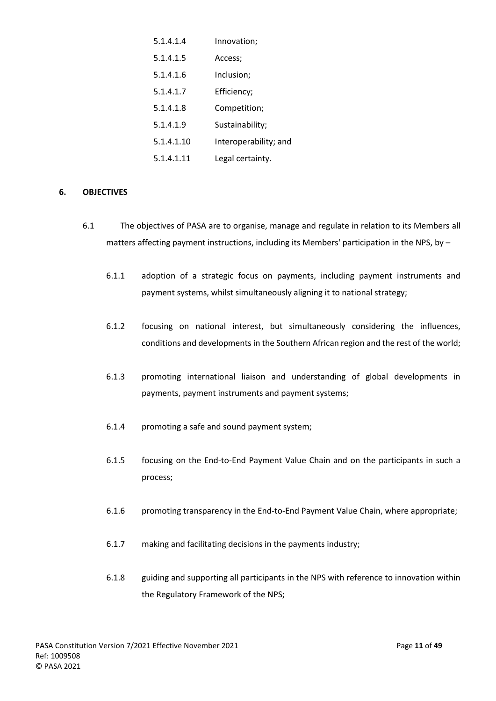| 5.1.4.1.4  | Innovation;           |
|------------|-----------------------|
| 5.1.4.1.5  | Access;               |
| 5.1.4.1.6  | Inclusion;            |
| 5.1.4.1.7  | Efficiency;           |
| 5.1.4.1.8  | Competition;          |
| 5.1.4.1.9  | Sustainability;       |
| 5.1.4.1.10 | Interoperability; and |
| 5.1.4.1.11 | Legal certainty.      |

## <span id="page-11-0"></span>**6. OBJECTIVES**

- 6.1 The objectives of PASA are to organise, manage and regulate in relation to its Members all matters affecting payment instructions, including its Members' participation in the NPS, by -
	- 6.1.1 adoption of a strategic focus on payments, including payment instruments and payment systems, whilst simultaneously aligning it to national strategy;
	- 6.1.2 focusing on national interest, but simultaneously considering the influences, conditions and developments in the Southern African region and the rest of the world;
	- 6.1.3 promoting international liaison and understanding of global developments in payments, payment instruments and payment systems;
	- 6.1.4 promoting a safe and sound payment system;
	- 6.1.5 focusing on the End-to-End Payment Value Chain and on the participants in such a process;
	- 6.1.6 promoting transparency in the End-to-End Payment Value Chain, where appropriate;
	- 6.1.7 making and facilitating decisions in the payments industry;
	- 6.1.8 guiding and supporting all participants in the NPS with reference to innovation within the Regulatory Framework of the NPS;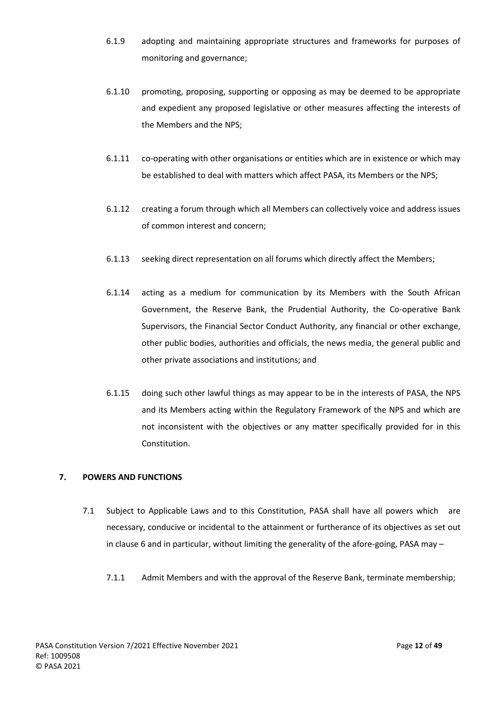- 6.1.9 adopting and maintaining appropriate structures and frameworks for purposes of monitoring and governance;
- 6.1.10 promoting, proposing, supporting or opposing as may be deemed to be appropriate and expedient any proposed legislative or other measures affecting the interests of the Members and the NPS;
- 6.1.11 co-operating with other organisations or entities which are in existence or which may be established to deal with matters which affect PASA, its Members or the NPS;
- 6.1.12 creating a forum through which all Members can collectively voice and address issues of common interest and concern;
- 6.1.13 seeking direct representation on all forums which directly affect the Members;
- 6.1.14 acting as a medium for communication by its Members with the South African Government, the Reserve Bank, the Prudential Authority, the Co-operative Bank Supervisors, the Financial Sector Conduct Authority, any financial or other exchange, other public bodies, authorities and officials, the news media, the general public and other private associations and institutions; and
- 6.1.15 doing such other lawful things as may appear to be in the interests of PASA, the NPS and its Members acting within the Regulatory Framework of the NPS and which are not inconsistent with the objectives or any matter specifically provided for in this Constitution.

# <span id="page-12-0"></span>**7. POWERS AND FUNCTIONS**

- 7.1 Subject to Applicable Laws and to this Constitution, PASA shall have all powers which are necessary, conducive or incidental to the attainment or furtherance of its objectives as set out in clause [6](#page-11-0) and in particular, without limiting the generality of the afore-going, PASA may –
	- 7.1.1 Admit Members and with the approval of the Reserve Bank, terminate membership;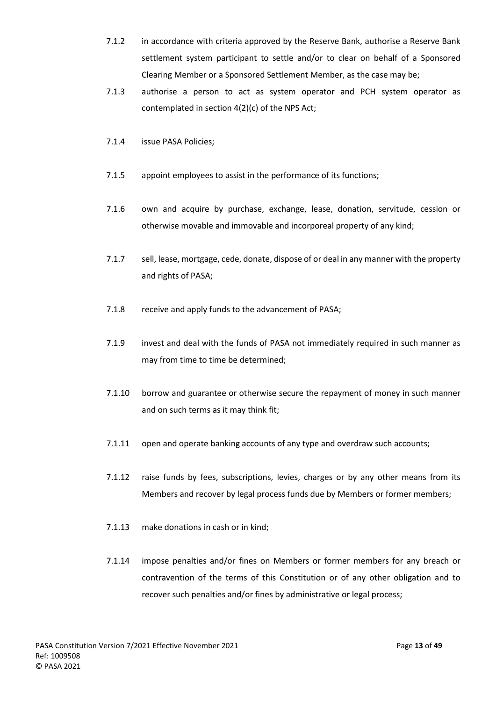- 7.1.2 in accordance with criteria approved by the Reserve Bank, authorise a Reserve Bank settlement system participant to settle and/or to clear on behalf of a Sponsored Clearing Member or a Sponsored Settlement Member, as the case may be;
- 7.1.3 authorise a person to act as system operator and PCH system operator as contemplated in section 4(2)(c) of the NPS Act;
- 7.1.4 issue PASA Policies;
- 7.1.5 appoint employees to assist in the performance of its functions;
- 7.1.6 own and acquire by purchase, exchange, lease, donation, servitude, cession or otherwise movable and immovable and incorporeal property of any kind;
- 7.1.7 sell, lease, mortgage, cede, donate, dispose of or deal in any manner with the property and rights of PASA;
- 7.1.8 receive and apply funds to the advancement of PASA;
- 7.1.9 invest and deal with the funds of PASA not immediately required in such manner as may from time to time be determined;
- 7.1.10 borrow and guarantee or otherwise secure the repayment of money in such manner and on such terms as it may think fit;
- 7.1.11 open and operate banking accounts of any type and overdraw such accounts;
- 7.1.12 raise funds by fees, subscriptions, levies, charges or by any other means from its Members and recover by legal process funds due by Members or former members;
- 7.1.13 make donations in cash or in kind;
- 7.1.14 impose penalties and/or fines on Members or former members for any breach or contravention of the terms of this Constitution or of any other obligation and to recover such penalties and/or fines by administrative or legal process;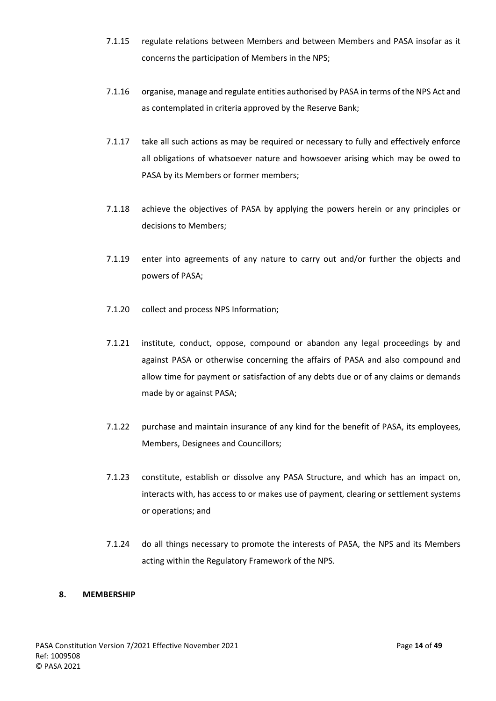- 7.1.15 regulate relations between Members and between Members and PASA insofar as it concerns the participation of Members in the NPS;
- 7.1.16 organise, manage and regulate entities authorised by PASA in terms of the NPS Act and as contemplated in criteria approved by the Reserve Bank;
- 7.1.17 take all such actions as may be required or necessary to fully and effectively enforce all obligations of whatsoever nature and howsoever arising which may be owed to PASA by its Members or former members;
- 7.1.18 achieve the objectives of PASA by applying the powers herein or any principles or decisions to Members;
- 7.1.19 enter into agreements of any nature to carry out and/or further the objects and powers of PASA;
- 7.1.20 collect and process NPS Information;
- 7.1.21 institute, conduct, oppose, compound or abandon any legal proceedings by and against PASA or otherwise concerning the affairs of PASA and also compound and allow time for payment or satisfaction of any debts due or of any claims or demands made by or against PASA;
- 7.1.22 purchase and maintain insurance of any kind for the benefit of PASA, its employees, Members, Designees and Councillors;
- <span id="page-14-1"></span>7.1.23 constitute, establish or dissolve any PASA Structure, and which has an impact on, interacts with, has access to or makes use of payment, clearing or settlement systems or operations; and
- 7.1.24 do all things necessary to promote the interests of PASA, the NPS and its Members acting within the Regulatory Framework of the NPS.

## <span id="page-14-0"></span>**8. MEMBERSHIP**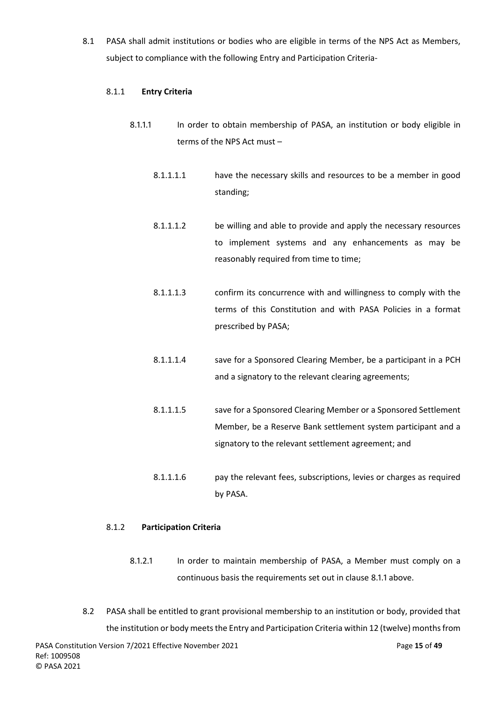<span id="page-15-2"></span><span id="page-15-0"></span>8.1 PASA shall admit institutions or bodies who are eligible in terms of the NPS Act as Members, subject to compliance with the following Entry and Participation Criteria-

## 8.1.1 **Entry Criteria**

- 8.1.1.1 In order to obtain membership of PASA, an institution or body eligible in terms of the NPS Act must –
	- 8.1.1.1.1 have the necessary skills and resources to be a member in good standing;
	- 8.1.1.1.2 be willing and able to provide and apply the necessary resources to implement systems and any enhancements as may be reasonably required from time to time;
	- 8.1.1.1.3 confirm its concurrence with and willingness to comply with the terms of this Constitution and with PASA Policies in a format prescribed by PASA;
	- 8.1.1.1.4 save for a Sponsored Clearing Member, be a participant in a PCH and a signatory to the relevant clearing agreements;
	- 8.1.1.1.5 save for a Sponsored Clearing Member or a Sponsored Settlement Member, be a Reserve Bank settlement system participant and a signatory to the relevant settlement agreement; and
	- 8.1.1.1.6 pay the relevant fees, subscriptions, levies or charges as required by PASA.

# 8.1.2 **Participation Criteria**

- 8.1.2.1 In order to maintain membership of PASA, a Member must comply on a continuous basis the requirements set out in clause [8.1.1](#page-15-2) above.
- <span id="page-15-1"></span>8.2 PASA shall be entitled to grant provisional membership to an institution or body, provided that the institution or body meets the Entry and Participation Criteria within 12 (twelve) months from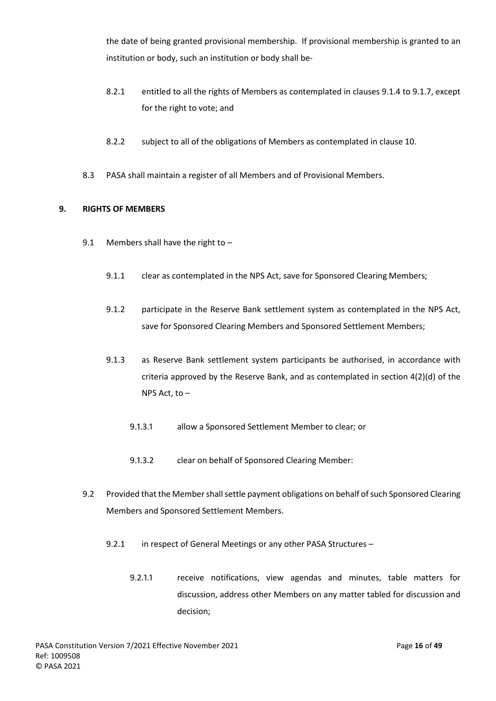the date of being granted provisional membership. If provisional membership is granted to an institution or body, such an institution or body shall be-

- 8.2.1 entitled to all the rights of Members as contemplated in clauses [9.1.4](#page-16-1) to [9.1.7,](#page-17-1) except for the right to vote; and
- 8.2.2 subject to all of the obligations of Members as contemplated in clause [10.](#page-17-0)
- 8.3 PASA shall maintain a register of all Members and of Provisional Members.

## <span id="page-16-0"></span>**9. RIGHTS OF MEMBERS**

- 9.1 Members shall have the right to -
	- 9.1.1 clear as contemplated in the NPS Act, save for Sponsored Clearing Members;
	- 9.1.2 participate in the Reserve Bank settlement system as contemplated in the NPS Act, save for Sponsored Clearing Members and Sponsored Settlement Members;
	- 9.1.3 as Reserve Bank settlement system participants be authorised, in accordance with criteria approved by the Reserve Bank, and as contemplated in section 4(2)(d) of the NPS Act, to –
		- 9.1.3.1 allow a Sponsored Settlement Member to clear; or
		- 9.1.3.2 clear on behalf of Sponsored Clearing Member:
- <span id="page-16-1"></span>9.2 Provided that the Member shall settle payment obligations on behalf of such Sponsored Clearing Members and Sponsored Settlement Members.
	- 9.2.1 in respect of General Meetings or any other PASA Structures
		- 9.2.1.1 receive notifications, view agendas and minutes, table matters for discussion, address other Members on any matter tabled for discussion and decision;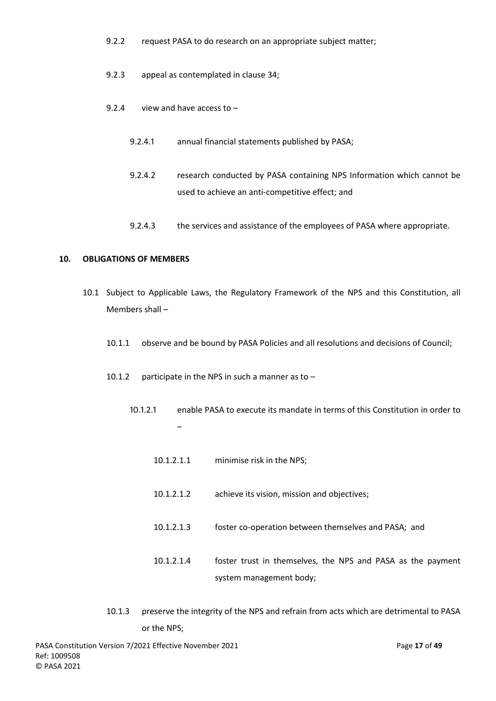- 9.2.2 request PASA to do research on an appropriate subject matter;
- 9.2.3 appeal as contemplated in clause [34;](#page-44-0)
- <span id="page-17-1"></span>9.2.4 view and have access to –
	- 9.2.4.1 annual financial statements published by PASA;
	- 9.2.4.2 research conducted by PASA containing NPS Information which cannot be used to achieve an anti-competitive effect; and
	- 9.2.4.3 the services and assistance of the employees of PASA where appropriate.

#### <span id="page-17-0"></span>**10. OBLIGATIONS OF MEMBERS**

- 10.1 Subject to Applicable Laws, the Regulatory Framework of the NPS and this Constitution, all Members shall –
	- 10.1.1 observe and be bound by PASA Policies and all resolutions and decisions of Council;
	- 10.1.2 participate in the NPS in such a manner as to  $-$ 
		- 10.1.2.1 enable PASA to execute its mandate in terms of this Constitution in order to –
			- 10.1.2.1.1 minimise risk in the NPS;
			- 10.1.2.1.2 achieve its vision, mission and objectives;
			- 10.1.2.1.3 foster co-operation between themselves and PASA; and
			- 10.1.2.1.4 foster trust in themselves, the NPS and PASA as the payment system management body;
	- 10.1.3 preserve the integrity of the NPS and refrain from acts which are detrimental to PASA or the NPS;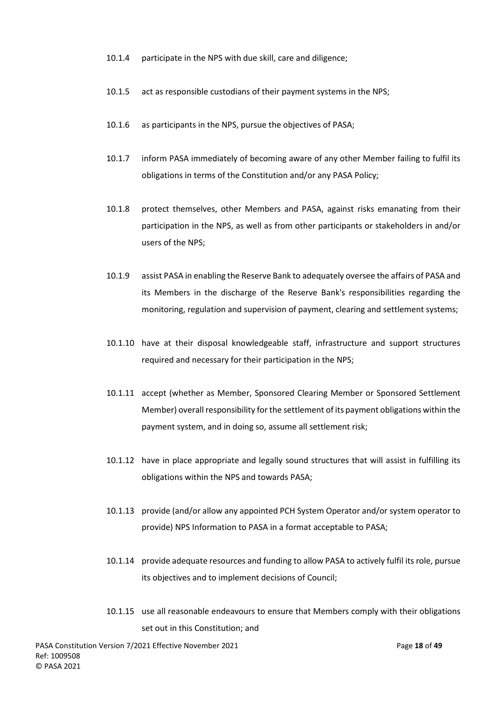- 10.1.4 participate in the NPS with due skill, care and diligence;
- 10.1.5 act as responsible custodians of their payment systems in the NPS;
- 10.1.6 as participants in the NPS, pursue the objectives of PASA;
- 10.1.7 inform PASA immediately of becoming aware of any other Member failing to fulfil its obligations in terms of the Constitution and/or any PASA Policy;
- 10.1.8 protect themselves, other Members and PASA, against risks emanating from their participation in the NPS, as well as from other participants or stakeholders in and/or users of the NPS;
- 10.1.9 assist PASA in enabling the Reserve Bank to adequately oversee the affairs of PASA and its Members in the discharge of the Reserve Bank's responsibilities regarding the monitoring, regulation and supervision of payment, clearing and settlement systems;
- 10.1.10 have at their disposal knowledgeable staff, infrastructure and support structures required and necessary for their participation in the NPS;
- 10.1.11 accept (whether as Member, Sponsored Clearing Member or Sponsored Settlement Member) overall responsibility for the settlement of its payment obligations within the payment system, and in doing so, assume all settlement risk;
- 10.1.12 have in place appropriate and legally sound structures that will assist in fulfilling its obligations within the NPS and towards PASA;
- 10.1.13 provide (and/or allow any appointed PCH System Operator and/or system operator to provide) NPS Information to PASA in a format acceptable to PASA;
- 10.1.14 provide adequate resources and funding to allow PASA to actively fulfil its role, pursue its objectives and to implement decisions of Council;
- 10.1.15 use all reasonable endeavours to ensure that Members comply with their obligations set out in this Constitution; and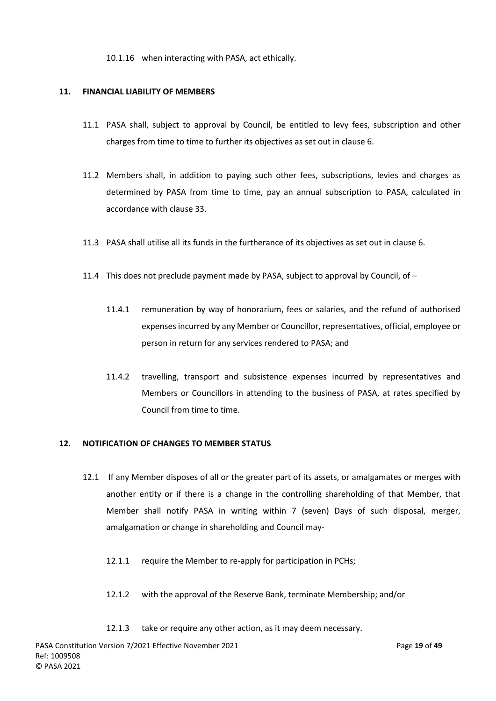10.1.16 when interacting with PASA, act ethically.

## <span id="page-19-0"></span>**11. FINANCIAL LIABILITY OF MEMBERS**

- 11.1 PASA shall, subject to approval by Council, be entitled to levy fees, subscription and other charges from time to time to further its objectives as set out in claus[e 6.](#page-11-0)
- 11.2 Members shall, in addition to paying such other fees, subscriptions, levies and charges as determined by PASA from time to time, pay an annual subscription to PASA, calculated in accordance with clause [33.](#page-42-4)
- 11.3 PASA shall utilise all its funds in the furtherance of its objectives as set out in clause 6.
- 11.4 This does not preclude payment made by PASA, subject to approval by Council, of  $-$ 
	- 11.4.1 remuneration by way of honorarium, fees or salaries, and the refund of authorised expenses incurred by any Member or Councillor, representatives, official, employee or person in return for any services rendered to PASA; and
	- 11.4.2 travelling, transport and subsistence expenses incurred by representatives and Members or Councillors in attending to the business of PASA, at rates specified by Council from time to time.

# <span id="page-19-1"></span>**12. NOTIFICATION OF CHANGES TO MEMBER STATUS**

- 12.1 If any Member disposes of all or the greater part of its assets, or amalgamates or merges with another entity or if there is a change in the controlling shareholding of that Member, that Member shall notify PASA in writing within 7 (seven) Days of such disposal, merger, amalgamation or change in shareholding and Council may-
	- 12.1.1 require the Member to re-apply for participation in PCHs;
	- 12.1.2 with the approval of the Reserve Bank, terminate Membership; and/or
	- 12.1.3 take or require any other action, as it may deem necessary.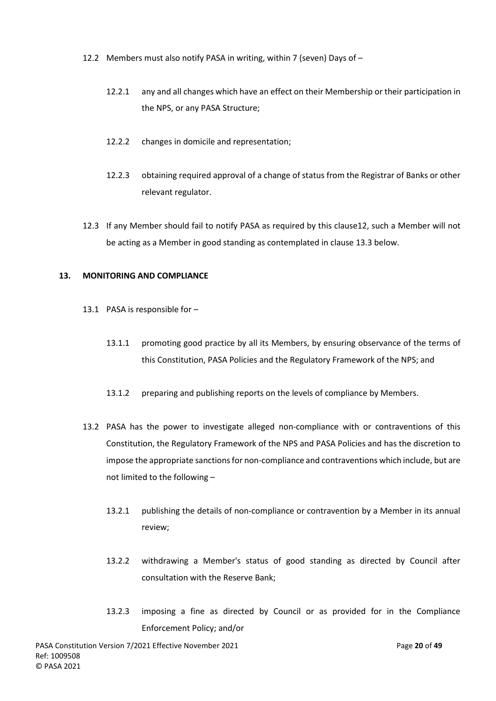- 12.2 Members must also notify PASA in writing, within 7 (seven) Days of
	- 12.2.1 any and all changes which have an effect on their Membership or their participation in the NPS, or any PASA Structure;
	- 12.2.2 changes in domicile and representation;
	- 12.2.3 obtaining required approval of a change of status from the Registrar of Banks or other relevant regulator.
- 12.3 If any Member should fail to notify PASA as required by this claus[e12,](#page-19-1) such a Member will not be acting as a Member in good standing as contemplated in clause [13.3](#page-21-0) below.

## <span id="page-20-0"></span>**13. MONITORING AND COMPLIANCE**

- 13.1 PASA is responsible for
	- 13.1.1 promoting good practice by all its Members, by ensuring observance of the terms of this Constitution, PASA Policies and the Regulatory Framework of the NPS; and
	- 13.1.2 preparing and publishing reports on the levels of compliance by Members.
- <span id="page-20-1"></span>13.2 PASA has the power to investigate alleged non-compliance with or contraventions of this Constitution, the Regulatory Framework of the NPS and PASA Policies and has the discretion to impose the appropriate sanctions for non-compliance and contraventions which include, but are not limited to the following –
	- 13.2.1 publishing the details of non-compliance or contravention by a Member in its annual review;
	- 13.2.2 withdrawing a Member's status of good standing as directed by Council after consultation with the Reserve Bank;
	- 13.2.3 imposing a fine as directed by Council or as provided for in the Compliance Enforcement Policy; and/or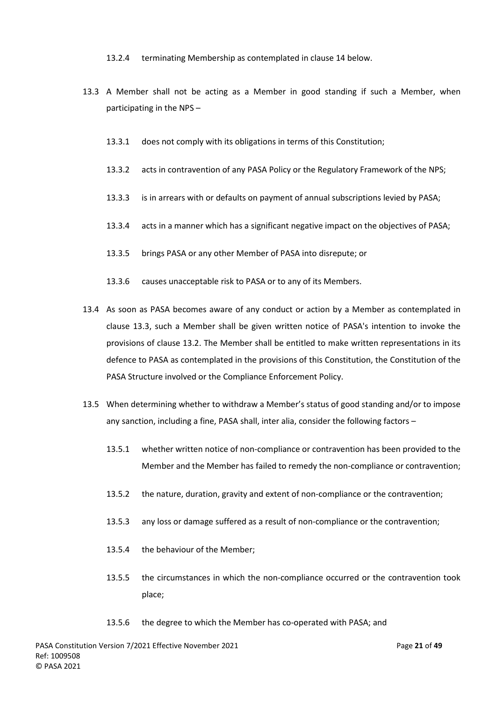13.2.4 terminating Membership as contemplated in clause [14](#page-22-0) below.

- <span id="page-21-0"></span>13.3 A Member shall not be acting as a Member in good standing if such a Member, when participating in the NPS –
	- 13.3.1 does not comply with its obligations in terms of this Constitution;
	- 13.3.2 acts in contravention of any PASA Policy or the Regulatory Framework of the NPS;
	- 13.3.3 is in arrears with or defaults on payment of annual subscriptions levied by PASA;
	- 13.3.4 acts in a manner which has a significant negative impact on the objectives of PASA;
	- 13.3.5 brings PASA or any other Member of PASA into disrepute; or
	- 13.3.6 causes unacceptable risk to PASA or to any of its Members.
- 13.4 As soon as PASA becomes aware of any conduct or action by a Member as contemplated in clause [13.3,](#page-21-0) such a Member shall be given written notice of PASA's intention to invoke the provisions of clause [13.2.](#page-20-1) The Member shall be entitled to make written representations in its defence to PASA as contemplated in the provisions of this Constitution, the Constitution of the PASA Structure involved or the Compliance Enforcement Policy.
- 13.5 When determining whether to withdraw a Member's status of good standing and/or to impose any sanction, including a fine, PASA shall, inter alia, consider the following factors –
	- 13.5.1 whether written notice of non-compliance or contravention has been provided to the Member and the Member has failed to remedy the non-compliance or contravention;
	- 13.5.2 the nature, duration, gravity and extent of non-compliance or the contravention;
	- 13.5.3 any loss or damage suffered as a result of non-compliance or the contravention;
	- 13.5.4 the behaviour of the Member;
	- 13.5.5 the circumstances in which the non-compliance occurred or the contravention took place;
	- 13.5.6 the degree to which the Member has co-operated with PASA; and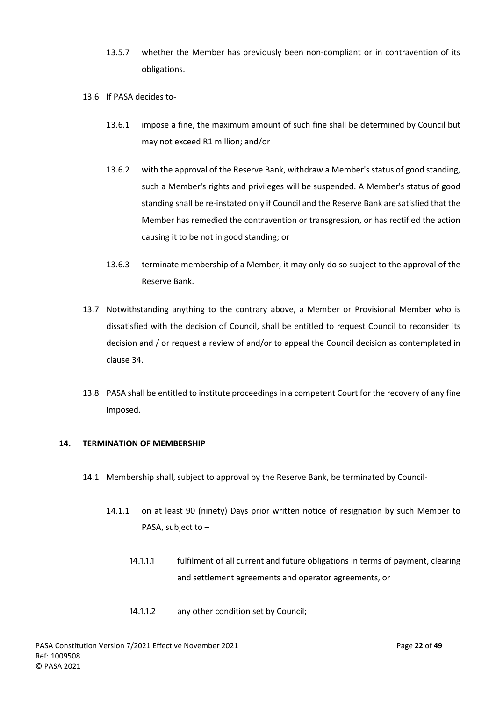- 13.5.7 whether the Member has previously been non-compliant or in contravention of its obligations.
- 13.6 If PASA decides to-
	- 13.6.1 impose a fine, the maximum amount of such fine shall be determined by Council but may not exceed R1 million; and/or
	- 13.6.2 with the approval of the Reserve Bank, withdraw a Member's status of good standing, such a Member's rights and privileges will be suspended. A Member's status of good standing shall be re-instated only if Council and the Reserve Bank are satisfied that the Member has remedied the contravention or transgression, or has rectified the action causing it to be not in good standing; or
	- 13.6.3 terminate membership of a Member, it may only do so subject to the approval of the Reserve Bank.
- 13.7 Notwithstanding anything to the contrary above, a Member or Provisional Member who is dissatisfied with the decision of Council, shall be entitled to request Council to reconsider its decision and / or request a review of and/or to appeal the Council decision as contemplated in clause [34.](#page-44-0)
- 13.8 PASA shall be entitled to institute proceedings in a competent Court for the recovery of any fine imposed.

## <span id="page-22-0"></span>**14. TERMINATION OF MEMBERSHIP**

- 14.1 Membership shall, subject to approval by the Reserve Bank, be terminated by Council-
	- 14.1.1 on at least 90 (ninety) Days prior written notice of resignation by such Member to PASA, subject to –
		- 14.1.1.1 fulfilment of all current and future obligations in terms of payment, clearing and settlement agreements and operator agreements, or
		- 14.1.1.2 any other condition set by Council;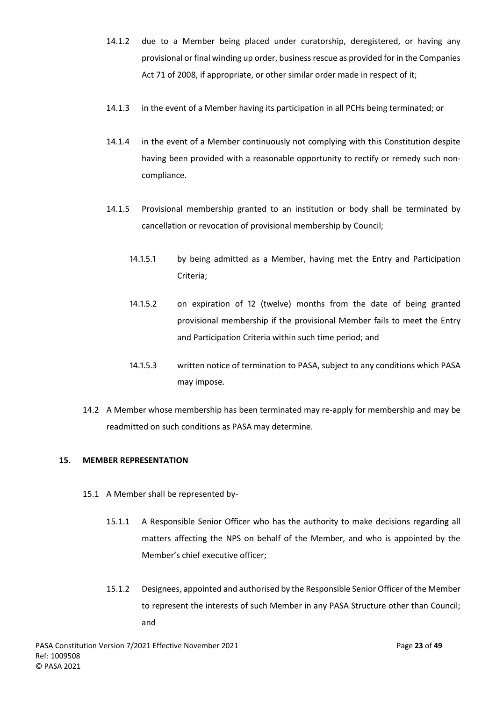- 14.1.2 due to a Member being placed under curatorship, deregistered, or having any provisional or final winding up order, business rescue as provided for in the Companies Act 71 of 2008, if appropriate, or other similar order made in respect of it;
- 14.1.3 in the event of a Member having its participation in all PCHs being terminated; or
- 14.1.4 in the event of a Member continuously not complying with this Constitution despite having been provided with a reasonable opportunity to rectify or remedy such noncompliance.
- 14.1.5 Provisional membership granted to an institution or body shall be terminated by cancellation or revocation of provisional membership by Council;
	- 14.1.5.1 by being admitted as a Member, having met the Entry and Participation Criteria;
	- 14.1.5.2 on expiration of 12 (twelve) months from the date of being granted provisional membership if the provisional Member fails to meet the Entry and Participation Criteria within such time period; and
	- 14.1.5.3 written notice of termination to PASA, subject to any conditions which PASA may impose.
- 14.2 A Member whose membership has been terminated may re-apply for membership and may be readmitted on such conditions as PASA may determine.

## <span id="page-23-3"></span><span id="page-23-0"></span>**15. MEMBER REPRESENTATION**

- <span id="page-23-2"></span><span id="page-23-1"></span>15.1 A Member shall be represented by-
	- 15.1.1 A Responsible Senior Officer who has the authority to make decisions regarding all matters affecting the NPS on behalf of the Member, and who is appointed by the Member's chief executive officer;
	- 15.1.2 Designees, appointed and authorised by the Responsible Senior Officer of the Member to represent the interests of such Member in any PASA Structure other than Council; and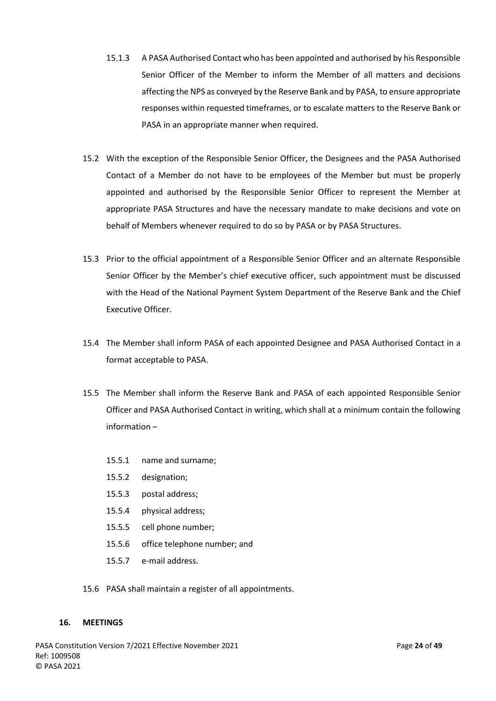- <span id="page-24-1"></span>15.1.3 A PASA Authorised Contact who has been appointed and authorised by his Responsible Senior Officer of the Member to inform the Member of all matters and decisions affecting the NPS as conveyed by the Reserve Bank and by PASA, to ensure appropriate responses within requested timeframes, or to escalate matters to the Reserve Bank or PASA in an appropriate manner when required.
- 15.2 With the exception of the Responsible Senior Officer, the Designees and the PASA Authorised Contact of a Member do not have to be employees of the Member but must be properly appointed and authorised by the Responsible Senior Officer to represent the Member at appropriate PASA Structures and have the necessary mandate to make decisions and vote on behalf of Members whenever required to do so by PASA or by PASA Structures.
- 15.3 Prior to the official appointment of a Responsible Senior Officer and an alternate Responsible Senior Officer by the Member's chief executive officer, such appointment must be discussed with the Head of the National Payment System Department of the Reserve Bank and the Chief Executive Officer.
- 15.4 The Member shall inform PASA of each appointed Designee and PASA Authorised Contact in a format acceptable to PASA.
- 15.5 The Member shall inform the Reserve Bank and PASA of each appointed Responsible Senior Officer and PASA Authorised Contact in writing, which shall at a minimum contain the following information –
	- 15.5.1 name and surname;
	- 15.5.2 designation;
	- 15.5.3 postal address;
	- 15.5.4 physical address;
	- 15.5.5 cell phone number;
	- 15.5.6 office telephone number; and
	- 15.5.7 e-mail address.
- 15.6 PASA shall maintain a register of all appointments.

#### <span id="page-24-0"></span>**16. MEETINGS**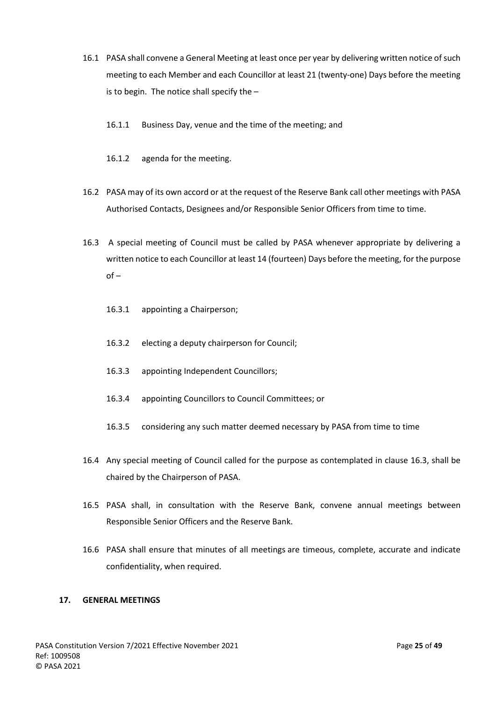- 16.1 PASA shall convene a General Meeting at least once per year by delivering written notice of such meeting to each Member and each Councillor at least 21 (twenty-one) Days before the meeting is to begin. The notice shall specify the –
	- 16.1.1 Business Day, venue and the time of the meeting; and
	- 16.1.2 agenda for the meeting.
- 16.2 PASA may of its own accord or at the request of the Reserve Bank call other meetings with PASA Authorised Contacts, Designees and/or Responsible Senior Officers from time to time.
- <span id="page-25-1"></span>16.3 A special meeting of Council must be called by PASA whenever appropriate by delivering a written notice to each Councillor at least 14 (fourteen) Days before the meeting, for the purpose  $of -$ 
	- 16.3.1 appointing a Chairperson;
	- 16.3.2 electing a deputy chairperson for Council;
	- 16.3.3 appointing Independent Councillors;
	- 16.3.4 appointing Councillors to Council Committees; or
	- 16.3.5 considering any such matter deemed necessary by PASA from time to time
- <span id="page-25-2"></span>16.4 Any special meeting of Council called for the purpose as contemplated in clause 16.3, shall be chaired by the Chairperson of PASA.
- 16.5 PASA shall, in consultation with the Reserve Bank, convene annual meetings between Responsible Senior Officers and the Reserve Bank.
- 16.6 PASA shall ensure that minutes of all meetings are timeous, complete, accurate and indicate confidentiality, when required.

## <span id="page-25-0"></span>**17. GENERAL MEETINGS**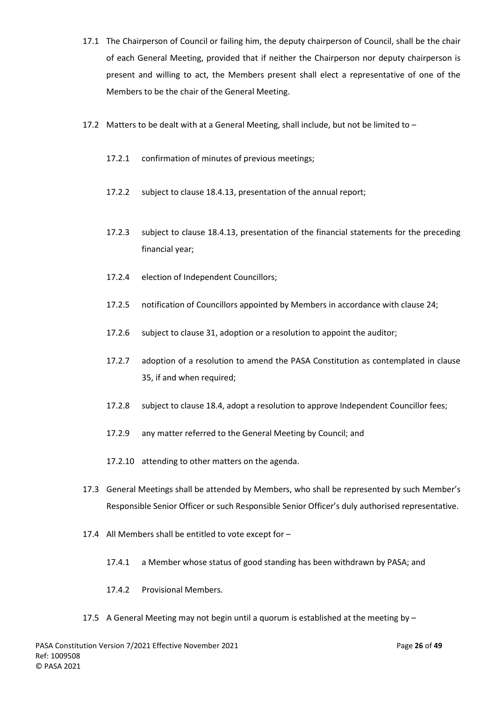- 17.1 The Chairperson of Council or failing him, the deputy chairperson of Council, shall be the chair of each General Meeting, provided that if neither the Chairperson nor deputy chairperson is present and willing to act, the Members present shall elect a representative of one of the Members to be the chair of the General Meeting.
- 17.2 Matters to be dealt with at a General Meeting, shall include, but not be limited to  $-$ 
	- 17.2.1 confirmation of minutes of previous meetings;
	- 17.2.2 subject to clause 18.4.13, presentation of the annual report;
	- 17.2.3 subject to clause 18.4.13, presentation of the financial statements for the preceding financial year;
	- 17.2.4 election of Independent Councillors;
	- 17.2.5 notification of Councillors appointed by Members in accordance with clause 24;
	- 17.2.6 subject to clause 31, adoption or a resolution to appoint the auditor;
	- 17.2.7 adoption of a resolution to amend the PASA Constitution as contemplated in clause 35, if and when required;
	- 17.2.8 subject to clause 18.4, adopt a resolution to approve Independent Councillor fees;
	- 17.2.9 any matter referred to the General Meeting by Council; and
	- 17.2.10 attending to other matters on the agenda.
- 17.3 General Meetings shall be attended by Members, who shall be represented by such Member's Responsible Senior Officer or such Responsible Senior Officer's duly authorised representative.
- 17.4 All Members shall be entitled to vote except for
	- 17.4.1 a Member whose status of good standing has been withdrawn by PASA; and
	- 17.4.2 Provisional Members.
- 17.5 A General Meeting may not begin until a quorum is established at the meeting by –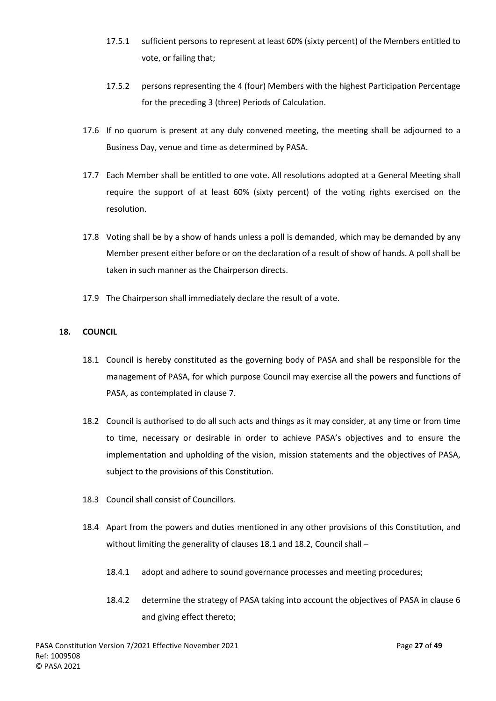- 17.5.1 sufficient persons to represent at least 60% (sixty percent) of the Members entitled to vote, or failing that;
- 17.5.2 persons representing the 4 (four) Members with the highest Participation Percentage for the preceding 3 (three) Periods of Calculation.
- 17.6 If no quorum is present at any duly convened meeting, the meeting shall be adjourned to a Business Day, venue and time as determined by PASA.
- 17.7 Each Member shall be entitled to one vote. All resolutions adopted at a General Meeting shall require the support of at least 60% (sixty percent) of the voting rights exercised on the resolution.
- 17.8 Voting shall be by a show of hands unless a poll is demanded, which may be demanded by any Member present either before or on the declaration of a result of show of hands. A poll shall be taken in such manner as the Chairperson directs.
- 17.9 The Chairperson shall immediately declare the result of a vote.

## <span id="page-27-1"></span><span id="page-27-0"></span>**18. COUNCIL**

- 18.1 Council is hereby constituted as the governing body of PASA and shall be responsible for the management of PASA, for which purpose Council may exercise all the powers and functions of PASA, as contemplated in clause [7.](#page-12-0)
- <span id="page-27-2"></span>18.2 Council is authorised to do all such acts and things as it may consider, at any time or from time to time, necessary or desirable in order to achieve PASA's objectives and to ensure the implementation and upholding of the vision, mission statements and the objectives of PASA, subject to the provisions of this Constitution.
- 18.3 Council shall consist of Councillors.
- 18.4 Apart from the powers and duties mentioned in any other provisions of this Constitution, and without limiting the generality of clauses [18.1](#page-27-1) an[d 18.2,](#page-27-2) Council shall -
	- 18.4.1 adopt and adhere to sound governance processes and meeting procedures;
	- 18.4.2 determine the strategy of PASA taking into account the objectives of PASA in clause [6](#page-11-0) and giving effect thereto;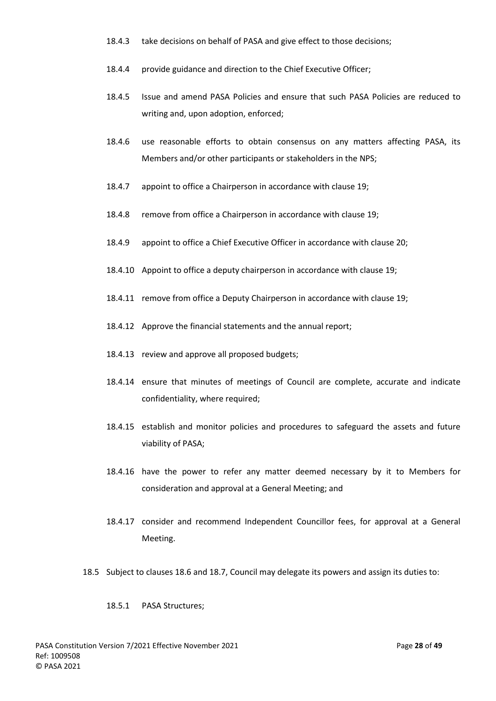- 18.4.3 take decisions on behalf of PASA and give effect to those decisions;
- 18.4.4 provide guidance and direction to the Chief Executive Officer;
- 18.4.5 Issue and amend PASA Policies and ensure that such PASA Policies are reduced to writing and, upon adoption, enforced;
- 18.4.6 use reasonable efforts to obtain consensus on any matters affecting PASA, its Members and/or other participants or stakeholders in the NPS;
- 18.4.7 appoint to office a Chairperson in accordance with clause 19;
- 18.4.8 remove from office a Chairperson in accordance with clause 19;
- 18.4.9 appoint to office a Chief Executive Officer in accordance with clause 20;
- 18.4.10 Appoint to office a deputy chairperson in accordance with clause 19;
- 18.4.11 remove from office a Deputy Chairperson in accordance with clause 19;
- 18.4.12 Approve the financial statements and the annual report;
- 18.4.13 review and approve all proposed budgets;
- 18.4.14 ensure that minutes of meetings of Council are complete, accurate and indicate confidentiality, where required;
- 18.4.15 establish and monitor policies and procedures to safeguard the assets and future viability of PASA;
- 18.4.16 have the power to refer any matter deemed necessary by it to Members for consideration and approval at a General Meeting; and
- 18.4.17 consider and recommend Independent Councillor fees, for approval at a General Meeting.
- <span id="page-28-0"></span>18.5 Subject to clauses [18.6](#page-29-1) an[d 18.7,](#page-29-2) Council may delegate its powers and assign its duties to:

## 18.5.1 PASA Structures;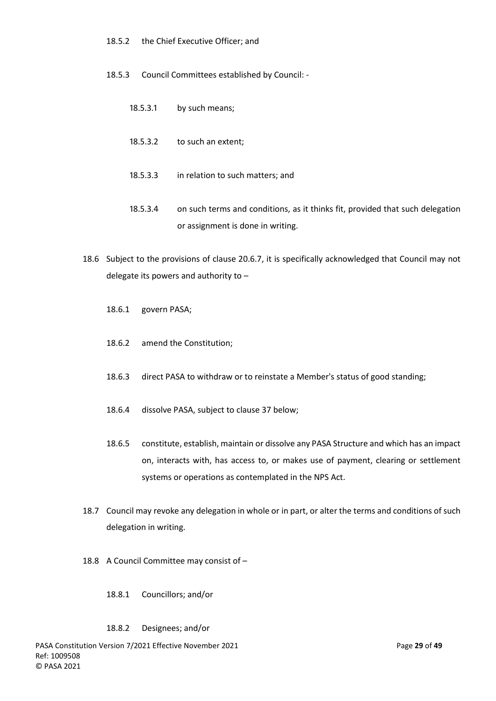- 18.5.2 the Chief Executive Officer; and
- 18.5.3 Council Committees established by Council:
	- 18.5.3.1 by such means;
	- 18.5.3.2 to such an extent;
	- 18.5.3.3 in relation to such matters; and
	- 18.5.3.4 on such terms and conditions, as it thinks fit, provided that such delegation or assignment is done in writing.
- <span id="page-29-1"></span>18.6 Subject to the provisions of clause [20.6.7,](#page-34-1) it is specifically acknowledged that Council may not delegate its powers and authority to –
	- 18.6.1 govern PASA;
	- 18.6.2 amend the Constitution;
	- 18.6.3 direct PASA to withdraw or to reinstate a Member's status of good standing;
	- 18.6.4 dissolve PASA, subject to clause [37](#page-48-0) below;
	- 18.6.5 constitute, establish, maintain or dissolve any PASA Structure and which has an impact on, interacts with, has access to, or makes use of payment, clearing or settlement systems or operations as contemplated in the NPS Act.
- <span id="page-29-2"></span>18.7 Council may revoke any delegation in whole or in part, or alter the terms and conditions of such delegation in writing.
- <span id="page-29-0"></span>18.8 A Council Committee may consist of –
	- 18.8.1 Councillors; and/or

#### 18.8.2 Designees; and/or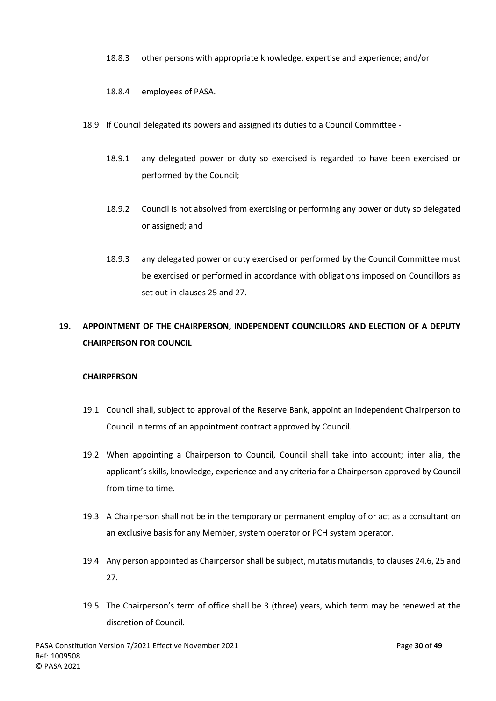- 18.8.3 other persons with appropriate knowledge, expertise and experience; and/or
- 18.8.4 employees of PASA.
- 18.9 If Council delegated its powers and assigned its duties to a Council Committee
	- 18.9.1 any delegated power or duty so exercised is regarded to have been exercised or performed by the Council;
	- 18.9.2 Council is not absolved from exercising or performing any power or duty so delegated or assigned; and
	- 18.9.3 any delegated power or duty exercised or performed by the Council Committee must be exercised or performed in accordance with obligations imposed on Councillors as set out in clause[s 25](#page-39-0) an[d 27.](#page-40-0)

# <span id="page-30-0"></span>**19. APPOINTMENT OF THE CHAIRPERSON, INDEPENDENT COUNCILLORS AND ELECTION OF A DEPUTY CHAIRPERSON FOR COUNCIL**

# **CHAIRPERSON**

- 19.1 Council shall, subject to approval of the Reserve Bank, appoint an independent Chairperson to Council in terms of an appointment contract approved by Council.
- 19.2 When appointing a Chairperson to Council, Council shall take into account; inter alia, the applicant's skills, knowledge, experience and any criteria for a Chairperson approved by Council from time to time.
- 19.3 A Chairperson shall not be in the temporary or permanent employ of or act as a consultant on an exclusive basis for any Member, system operator or PCH system operator.
- 19.4 Any person appointed as Chairperson shall be subject, mutatis mutandis, to clauses 24.6, 25 and 27.
- 19.5 The Chairperson's term of office shall be 3 (three) years, which term may be renewed at the discretion of Council.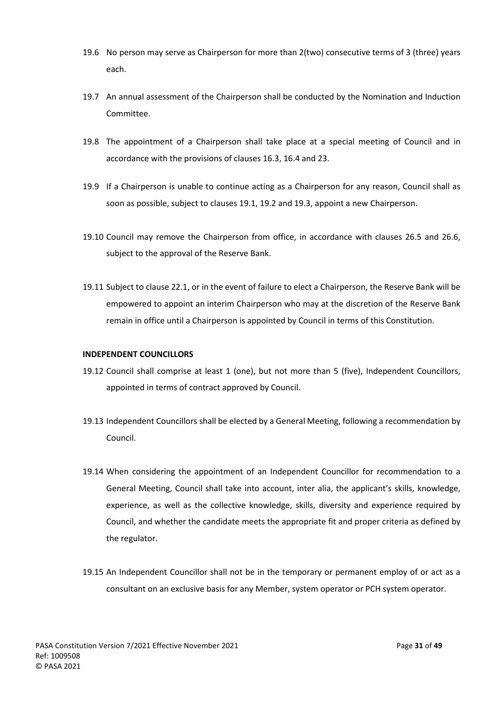- 19.6 No person may serve as Chairperson for more than 2(two) consecutive terms of 3 (three) years each.
- 19.7 An annual assessment of the Chairperson shall be conducted by the Nomination and Induction Committee.
- <span id="page-31-0"></span>19.8 The appointment of a Chairperson shall take place at a special meeting of Council and in accordance with the provisions of clause[s 16.3,](#page-25-1) [16.4](#page-25-2) an[d 23.](#page-36-0)
- 19.9 If a Chairperson is unable to continue acting as a Chairperson for any reason, Council shall as soon as possible, subject to clauses 19.1, 19.2 and 19.3, appoint a new Chairperson.
- 19.10 Council may remove the Chairperson from office, in accordance with clauses [26.5](#page-40-1) and [26.6,](#page-40-2) subject to the approval of the Reserve Bank.
- 19.11 Subject to claus[e 22.1,](#page-35-1) or in the event of failure to elect a Chairperson, the Reserve Bank will be empowered to appoint an interim Chairperson who may at the discretion of the Reserve Bank remain in office until a Chairperson is appointed by Council in terms of this Constitution.

## **INDEPENDENT COUNCILLORS**

- 19.12 Council shall comprise at least 1 (one), but not more than 5 (five), Independent Councillors, appointed in terms of contract approved by Council.
- 19.13 Independent Councillors shall be elected by a General Meeting, following a recommendation by Council.
- 19.14 When considering the appointment of an Independent Councillor for recommendation to a General Meeting, Council shall take into account, inter alia, the applicant's skills, knowledge, experience, as well as the collective knowledge, skills, diversity and experience required by Council, and whether the candidate meets the appropriate fit and proper criteria as defined by the regulator.
- 19.15 An Independent Councillor shall not be in the temporary or permanent employ of or act as a consultant on an exclusive basis for any Member, system operator or PCH system operator.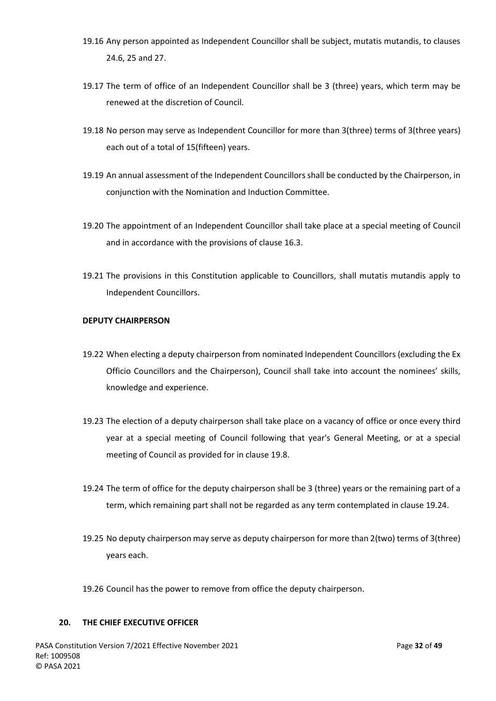- 19.16 Any person appointed as Independent Councillor shall be subject, mutatis mutandis, to clauses 24.6, 25 and 27.
- 19.17 The term of office of an Independent Councillor shall be 3 (three) years, which term may be renewed at the discretion of Council.
- 19.18 No person may serve as Independent Councillor for more than 3(three) terms of 3(three years) each out of a total of 15(fifteen) years.
- 19.19 An annual assessment of the Independent Councillors shall be conducted by the Chairperson, in conjunction with the Nomination and Induction Committee.
- 19.20 The appointment of an Independent Councillor shall take place at a special meeting of Council and in accordance with the provisions of claus[e 16.3.](#page-25-1)
- 19.21 The provisions in this Constitution applicable to Councillors, shall mutatis mutandis apply to Independent Councillors.

## **DEPUTY CHAIRPERSON**

- 19.22 When electing a deputy chairperson from nominated Independent Councillors (excluding the Ex Officio Councillors and the Chairperson), Council shall take into account the nominees' skills, knowledge and experience.
- 19.23 The election of a deputy chairperson shall take place on a vacancy of office or once every third year at a special meeting of Council following that year's General Meeting, or at a special meeting of Council as provided for in clause [19.8.](#page-31-0)
- 19.24 The term of office for the deputy chairperson shall be 3 (three) years or the remaining part of a term, which remaining part shall not be regarded as any term contemplated in clause 19.24.
- 19.25 No deputy chairperson may serve as deputy chairperson for more than 2(two) terms of 3(three) years each.
- 19.26 Council has the power to remove from office the deputy chairperson.

#### <span id="page-32-0"></span>**20. THE CHIEF EXECUTIVE OFFICER**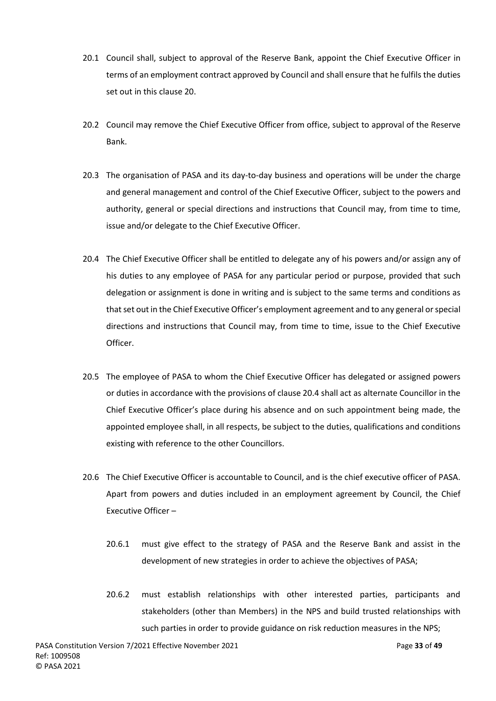- 20.1 Council shall, subject to approval of the Reserve Bank, appoint the Chief Executive Officer in terms of an employment contract approved by Council and shall ensure that he fulfils the duties set out in this claus[e 20.](#page-32-0)
- 20.2 Council may remove the Chief Executive Officer from office, subject to approval of the Reserve Bank.
- 20.3 The organisation of PASA and its day-to-day business and operations will be under the charge and general management and control of the Chief Executive Officer, subject to the powers and authority, general or special directions and instructions that Council may, from time to time, issue and/or delegate to the Chief Executive Officer.
- <span id="page-33-0"></span>20.4 The Chief Executive Officer shall be entitled to delegate any of his powers and/or assign any of his duties to any employee of PASA for any particular period or purpose, provided that such delegation or assignment is done in writing and is subject to the same terms and conditions as that set out in the Chief Executive Officer's employment agreement and to any general or special directions and instructions that Council may, from time to time, issue to the Chief Executive Officer.
- 20.5 The employee of PASA to whom the Chief Executive Officer has delegated or assigned powers or duties in accordance with the provisions of claus[e 20.4](#page-33-0) shall act as alternate Councillor in the Chief Executive Officer's place during his absence and on such appointment being made, the appointed employee shall, in all respects, be subject to the duties, qualifications and conditions existing with reference to the other Councillors.
- 20.6 The Chief Executive Officer is accountable to Council, and is the chief executive officer of PASA. Apart from powers and duties included in an employment agreement by Council, the Chief Executive Officer –
	- 20.6.1 must give effect to the strategy of PASA and the Reserve Bank and assist in the development of new strategies in order to achieve the objectives of PASA;
	- 20.6.2 must establish relationships with other interested parties, participants and stakeholders (other than Members) in the NPS and build trusted relationships with such parties in order to provide guidance on risk reduction measures in the NPS;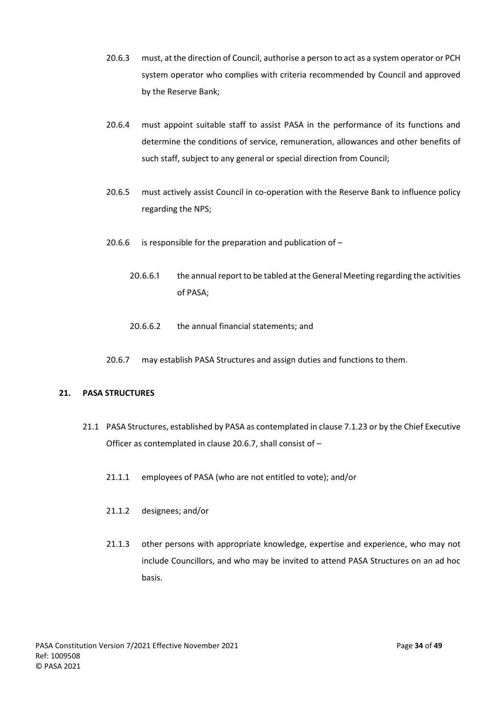- 20.6.3 must, at the direction of Council, authorise a person to act as a system operator or PCH system operator who complies with criteria recommended by Council and approved by the Reserve Bank;
- 20.6.4 must appoint suitable staff to assist PASA in the performance of its functions and determine the conditions of service, remuneration, allowances and other benefits of such staff, subject to any general or special direction from Council;
- 20.6.5 must actively assist Council in co-operation with the Reserve Bank to influence policy regarding the NPS;
- 20.6.6 is responsible for the preparation and publication of  $-$ 
	- 20.6.6.1 the annual report to be tabled at the General Meeting regarding the activities of PASA;
	- 20.6.6.2 the annual financial statements; and
- 20.6.7 may establish PASA Structures and assign duties and functions to them.

## <span id="page-34-1"></span><span id="page-34-0"></span>**21. PASA STRUCTURES**

- 21.1 PASA Structures, established by PASA as contemplated in claus[e 7.1.23](#page-14-1) or by the Chief Executive Officer as contemplated in clause [20.6.7,](#page-34-1) shall consist of –
	- 21.1.1 employees of PASA (who are not entitled to vote); and/or
	- 21.1.2 designees; and/or
	- 21.1.3 other persons with appropriate knowledge, expertise and experience, who may not include Councillors, and who may be invited to attend PASA Structures on an ad hoc basis.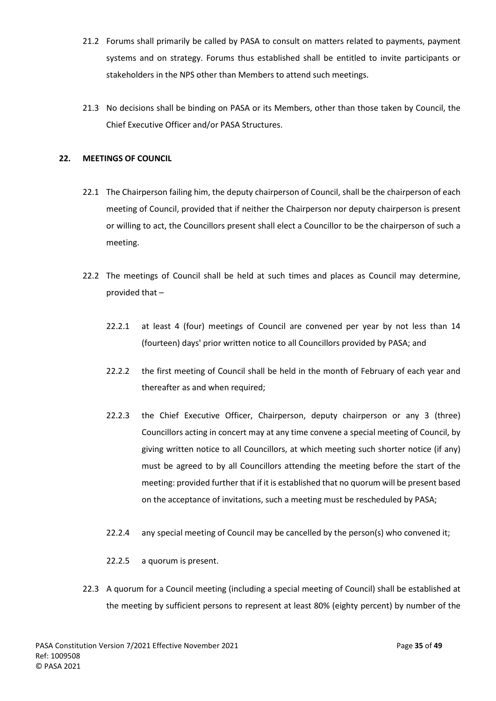- 21.2 Forums shall primarily be called by PASA to consult on matters related to payments, payment systems and on strategy. Forums thus established shall be entitled to invite participants or stakeholders in the NPS other than Members to attend such meetings.
- 21.3 No decisions shall be binding on PASA or its Members, other than those taken by Council, the Chief Executive Officer and/or PASA Structures.

## <span id="page-35-1"></span><span id="page-35-0"></span>**22. MEETINGS OF COUNCIL**

- 22.1 The Chairperson failing him, the deputy chairperson of Council, shall be the chairperson of each meeting of Council, provided that if neither the Chairperson nor deputy chairperson is present or willing to act, the Councillors present shall elect a Councillor to be the chairperson of such a meeting.
- <span id="page-35-2"></span>22.2 The meetings of Council shall be held at such times and places as Council may determine, provided that –
	- 22.2.1 at least 4 (four) meetings of Council are convened per year by not less than 14 (fourteen) days' prior written notice to all Councillors provided by PASA; and
	- 22.2.2 the first meeting of Council shall be held in the month of February of each year and thereafter as and when required;
	- 22.2.3 the Chief Executive Officer, Chairperson, deputy chairperson or any 3 (three) Councillors acting in concert may at any time convene a special meeting of Council, by giving written notice to all Councillors, at which meeting such shorter notice (if any) must be agreed to by all Councillors attending the meeting before the start of the meeting: provided further that if it is established that no quorum will be present based on the acceptance of invitations, such a meeting must be rescheduled by PASA;
	- 22.2.4 any special meeting of Council may be cancelled by the person(s) who convened it;
	- 22.2.5 a quorum is present.
- 22.3 A quorum for a Council meeting (including a special meeting of Council) shall be established at the meeting by sufficient persons to represent at least 80% (eighty percent) by number of the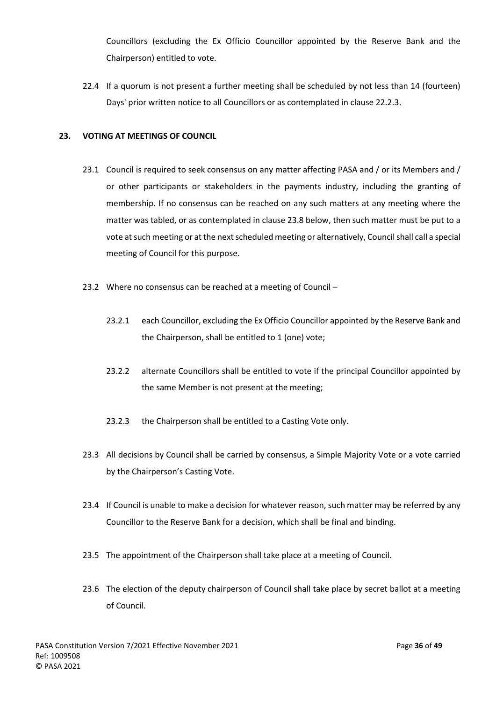Councillors (excluding the Ex Officio Councillor appointed by the Reserve Bank and the Chairperson) entitled to vote.

22.4 If a quorum is not present a further meeting shall be scheduled by not less than 14 (fourteen) Days' prior written notice to all Councillors or as contemplated in clause [22.2.3.](#page-35-2)

## <span id="page-36-0"></span>**23. VOTING AT MEETINGS OF COUNCIL**

- 23.1 Council is required to seek consensus on any matter affecting PASA and / or its Members and / or other participants or stakeholders in the payments industry, including the granting of membership. If no consensus can be reached on any such matters at any meeting where the matter was tabled, or as contemplated in clause [23.8](#page-37-1) below, then such matter must be put to a vote at such meeting or at the next scheduled meeting or alternatively, Council shall call a special meeting of Council for this purpose.
- 23.2 Where no consensus can be reached at a meeting of Council
	- 23.2.1 each Councillor, excluding the Ex Officio Councillor appointed by the Reserve Bank and the Chairperson, shall be entitled to 1 (one) vote;
	- 23.2.2 alternate Councillors shall be entitled to vote if the principal Councillor appointed by the same Member is not present at the meeting;
	- 23.2.3 the Chairperson shall be entitled to a Casting Vote only.
- 23.3 All decisions by Council shall be carried by consensus, a Simple Majority Vote or a vote carried by the Chairperson's Casting Vote.
- 23.4 If Council is unable to make a decision for whatever reason, such matter may be referred by any Councillor to the Reserve Bank for a decision, which shall be final and binding.
- 23.5 The appointment of the Chairperson shall take place at a meeting of Council.
- 23.6 The election of the deputy chairperson of Council shall take place by secret ballot at a meeting of Council.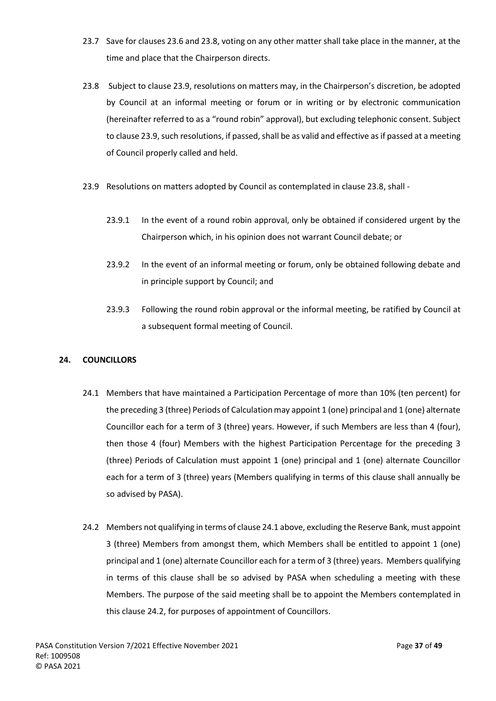- 23.7 Save for clauses 23.6 and [23.8,](#page-37-2) voting on any other matter shall take place in the manner, at the time and place that the Chairperson directs.
- <span id="page-37-2"></span><span id="page-37-1"></span>23.8 Subject to clause 23.9, resolutions on matters may, in the Chairperson's discretion, be adopted by Council at an informal meeting or forum or in writing or by electronic communication (hereinafter referred to as a "round robin" approval), but excluding telephonic consent. Subject to clause 23.9, such resolutions, if passed, shall be as valid and effective as if passed at a meeting of Council properly called and held.
- 23.9 Resolutions on matters adopted by Council as contemplated in clause 23.8, shall
	- 23.9.1 In the event of a round robin approval, only be obtained if considered urgent by the Chairperson which, in his opinion does not warrant Council debate; or
	- 23.9.2 In the event of an informal meeting or forum, only be obtained following debate and in principle support by Council; and
	- 23.9.3 Following the round robin approval or the informal meeting, be ratified by Council at a subsequent formal meeting of Council.

# <span id="page-37-3"></span><span id="page-37-0"></span>**24. COUNCILLORS**

- 24.1 Members that have maintained a Participation Percentage of more than 10% (ten percent) for the preceding 3 (three) Periods of Calculation may appoint 1 (one) principal and 1 (one) alternate Councillor each for a term of 3 (three) years. However, if such Members are less than 4 (four), then those 4 (four) Members with the highest Participation Percentage for the preceding 3 (three) Periods of Calculation must appoint 1 (one) principal and 1 (one) alternate Councillor each for a term of 3 (three) years (Members qualifying in terms of this clause shall annually be so advised by PASA).
- <span id="page-37-4"></span>24.2 Members not qualifying in terms of claus[e 24.1](#page-37-3) above, excluding the Reserve Bank, must appoint 3 (three) Members from amongst them, which Members shall be entitled to appoint 1 (one) principal and 1 (one) alternate Councillor each for a term of 3 (three) years. Members qualifying in terms of this clause shall be so advised by PASA when scheduling a meeting with these Members. The purpose of the said meeting shall be to appoint the Members contemplated in this clause [24.2,](#page-37-4) for purposes of appointment of Councillors.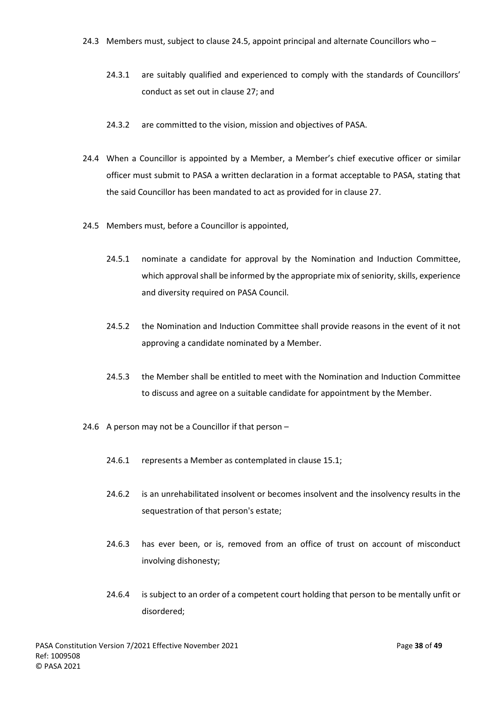- 24.3.1 are suitably qualified and experienced to comply with the standards of Councillors' conduct as set out in clause [27;](#page-40-0) and
- 24.3.2 are committed to the vision, mission and objectives of PASA.
- 24.4 When a Councillor is appointed by a Member, a Member's chief executive officer or similar officer must submit to PASA a written declaration in a format acceptable to PASA, stating that the said Councillor has been mandated to act as provided for in claus[e 27.](#page-40-0)
- <span id="page-38-0"></span>24.5 Members must, before a Councillor is appointed,
	- 24.5.1 nominate a candidate for approval by the Nomination and Induction Committee, which approval shall be informed by the appropriate mix of seniority, skills, experience and diversity required on PASA Council.
	- 24.5.2 the Nomination and Induction Committee shall provide reasons in the event of it not approving a candidate nominated by a Member.
	- 24.5.3 the Member shall be entitled to meet with the Nomination and Induction Committee to discuss and agree on a suitable candidate for appointment by the Member.
- 24.6 A person may not be a Councillor if that person
	- 24.6.1 represents a Member as contemplated in clause [15.1;](#page-23-3)
	- 24.6.2 is an unrehabilitated insolvent or becomes insolvent and the insolvency results in the sequestration of that person's estate;
	- 24.6.3 has ever been, or is, removed from an office of trust on account of misconduct involving dishonesty;
	- 24.6.4 is subject to an order of a competent court holding that person to be mentally unfit or disordered;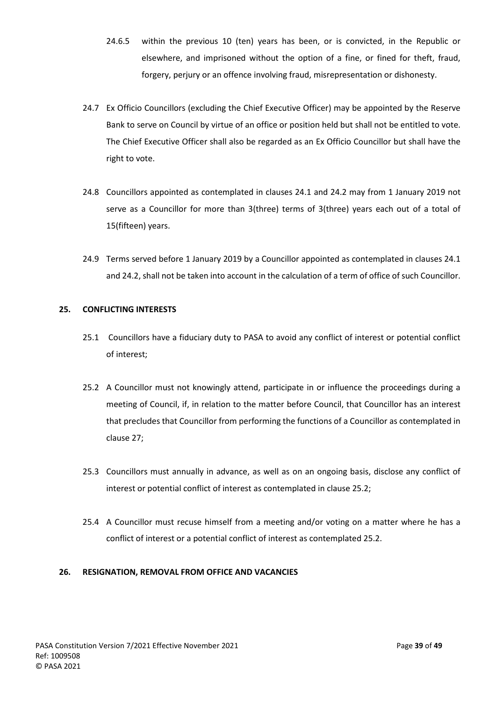- 24.6.5 within the previous 10 (ten) years has been, or is convicted, in the Republic or elsewhere, and imprisoned without the option of a fine, or fined for theft, fraud, forgery, perjury or an offence involving fraud, misrepresentation or dishonesty.
- <span id="page-39-2"></span>24.7 Ex Officio Councillors (excluding the Chief Executive Officer) may be appointed by the Reserve Bank to serve on Council by virtue of an office or position held but shall not be entitled to vote. The Chief Executive Officer shall also be regarded as an Ex Officio Councillor but shall have the right to vote.
- 24.8 Councillors appointed as contemplated in clauses 24.1 and 24.2 may from 1 January 2019 not serve as a Councillor for more than 3(three) terms of 3(three) years each out of a total of 15(fifteen) years.
- 24.9 Terms served before 1 January 2019 by a Councillor appointed as contemplated in clauses 24.1 and 24.2, shall not be taken into account in the calculation of a term of office of such Councillor.

# <span id="page-39-0"></span>**25. CONFLICTING INTERESTS**

- 25.1 Councillors have a fiduciary duty to PASA to avoid any conflict of interest or potential conflict of interest;
- 25.2 A Councillor must not knowingly attend, participate in or influence the proceedings during a meeting of Council, if, in relation to the matter before Council, that Councillor has an interest that precludes that Councillor from performing the functions of a Councillor as contemplated in clause 27;
- 25.3 Councillors must annually in advance, as well as on an ongoing basis, disclose any conflict of interest or potential conflict of interest as contemplated in clause 25.2;
- 25.4 A Councillor must recuse himself from a meeting and/or voting on a matter where he has a conflict of interest or a potential conflict of interest as contemplated 25.2.

## <span id="page-39-1"></span>**26. RESIGNATION, REMOVAL FROM OFFICE AND VACANCIES**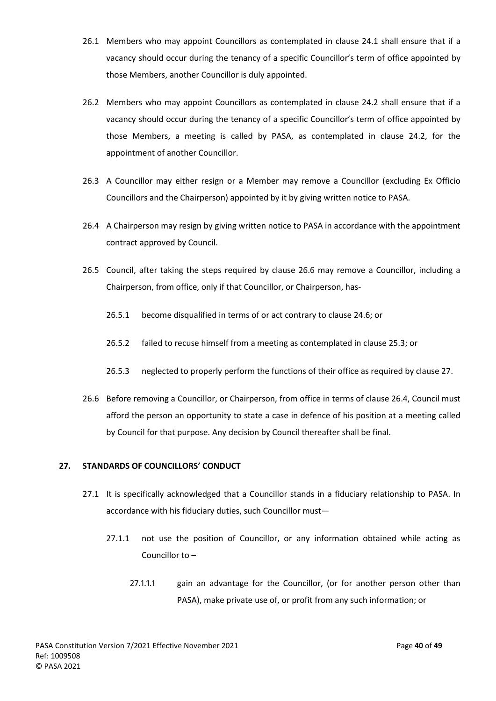- 26.1 Members who may appoint Councillors as contemplated in clause [24.1](#page-37-3) shall ensure that if a vacancy should occur during the tenancy of a specific Councillor's term of office appointed by those Members, another Councillor is duly appointed.
- 26.2 Members who may appoint Councillors as contemplated in clause [24.2](#page-37-4) shall ensure that if a vacancy should occur during the tenancy of a specific Councillor's term of office appointed by those Members, a meeting is called by PASA, as contemplated in clause [24.2,](#page-37-4) for the appointment of another Councillor.
- 26.3 A Councillor may either resign or a Member may remove a Councillor (excluding Ex Officio Councillors and the Chairperson) appointed by it by giving written notice to PASA.
- <span id="page-40-3"></span>26.4 A Chairperson may resign by giving written notice to PASA in accordance with the appointment contract approved by Council.
- <span id="page-40-1"></span>26.5 Council, after taking the steps required by clause [26.6](#page-40-2) may remove a Councillor, including a Chairperson, from office, only if that Councillor, or Chairperson, has-
	- 26.5.1 become disqualified in terms of or act contrary to claus[e 24.6;](#page-38-0) or
	- 26.5.2 failed to recuse himself from a meeting as contemplated in clause 25.3; or
	- 26.5.3 neglected to properly perform the functions of their office as required by clause [27.](#page-40-0)
- <span id="page-40-2"></span>26.6 Before removing a Councillor, or Chairperson, from office in terms of claus[e 26.4,](#page-40-3) Council must afford the person an opportunity to state a case in defence of his position at a meeting called by Council for that purpose. Any decision by Council thereafter shall be final.

## <span id="page-40-0"></span>**27. STANDARDS OF COUNCILLORS' CONDUCT**

- 27.1 It is specifically acknowledged that a Councillor stands in a fiduciary relationship to PASA. In accordance with his fiduciary duties, such Councillor must—
	- 27.1.1 not use the position of Councillor, or any information obtained while acting as Councillor to –
		- 27.1.1.1 gain an advantage for the Councillor, (or for another person other than PASA), make private use of, or profit from any such information; or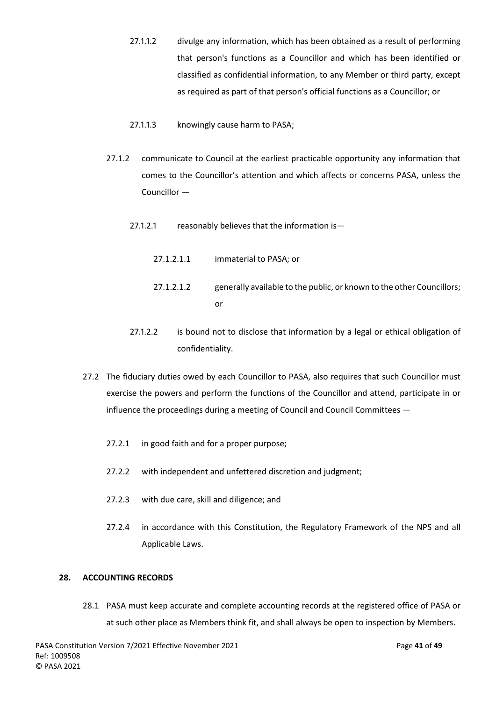- 27.1.1.2 divulge any information, which has been obtained as a result of performing that person's functions as a Councillor and which has been identified or classified as confidential information, to any Member or third party, except as required as part of that person's official functions as a Councillor; or
- 27.1.1.3 knowingly cause harm to PASA;
- 27.1.2 communicate to Council at the earliest practicable opportunity any information that comes to the Councillor's attention and which affects or concerns PASA, unless the Councillor —
	- 27.1.2.1 reasonably believes that the information is-
		- 27.1.2.1.1 immaterial to PASA; or
		- 27.1.2.1.2 generally available to the public, or known to the other Councillors; or
	- 27.1.2.2 is bound not to disclose that information by a legal or ethical obligation of confidentiality.
- 27.2 The fiduciary duties owed by each Councillor to PASA, also requires that such Councillor must exercise the powers and perform the functions of the Councillor and attend, participate in or influence the proceedings during a meeting of Council and Council Committees —
	- 27.2.1 in good faith and for a proper purpose;
	- 27.2.2 with independent and unfettered discretion and judgment;
	- 27.2.3 with due care, skill and diligence; and
	- 27.2.4 in accordance with this Constitution, the Regulatory Framework of the NPS and all Applicable Laws.

## <span id="page-41-0"></span>**28. ACCOUNTING RECORDS**

28.1 PASA must keep accurate and complete accounting records at the registered office of PASA or at such other place as Members think fit, and shall always be open to inspection by Members.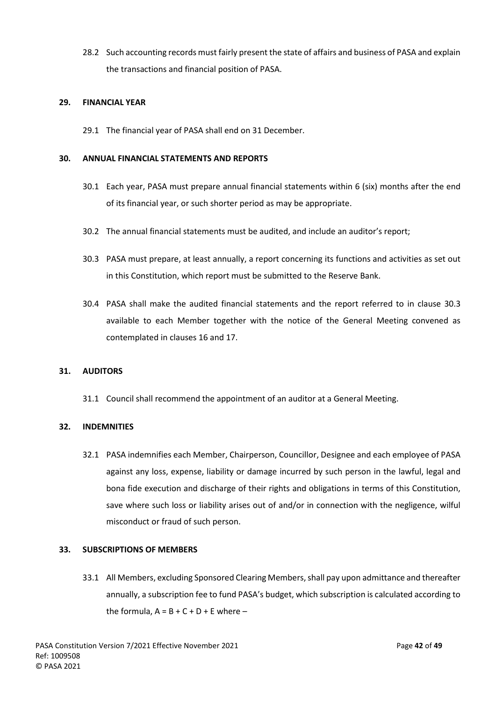28.2 Such accounting records must fairly present the state of affairs and business of PASA and explain the transactions and financial position of PASA.

## <span id="page-42-0"></span>**29. FINANCIAL YEAR**

29.1 The financial year of PASA shall end on 31 December.

## <span id="page-42-1"></span>**30. ANNUAL FINANCIAL STATEMENTS AND REPORTS**

- 30.1 Each year, PASA must prepare annual financial statements within 6 (six) months after the end of its financial year, or such shorter period as may be appropriate.
- 30.2 The annual financial statements must be audited, and include an auditor's report;
- <span id="page-42-5"></span>30.3 PASA must prepare, at least annually, a report concerning its functions and activities as set out in this Constitution, which report must be submitted to the Reserve Bank.
- 30.4 PASA shall make the audited financial statements and the report referred to in clause [30.3](#page-42-5) available to each Member together with the notice of the General Meeting convened as contemplated in clause[s 16](#page-24-0) and [17.](#page-25-0)

## <span id="page-42-2"></span>**31. AUDITORS**

31.1 Council shall recommend the appointment of an auditor at a General Meeting.

## <span id="page-42-3"></span>**32. INDEMNITIES**

32.1 PASA indemnifies each Member, Chairperson, Councillor, Designee and each employee of PASA against any loss, expense, liability or damage incurred by such person in the lawful, legal and bona fide execution and discharge of their rights and obligations in terms of this Constitution, save where such loss or liability arises out of and/or in connection with the negligence, wilful misconduct or fraud of such person.

## <span id="page-42-4"></span>**33. SUBSCRIPTIONS OF MEMBERS**

33.1 All Members, excluding Sponsored Clearing Members, shall pay upon admittance and thereafter annually, a subscription fee to fund PASA's budget, which subscription is calculated according to the formula,  $A = B + C + D + E$  where –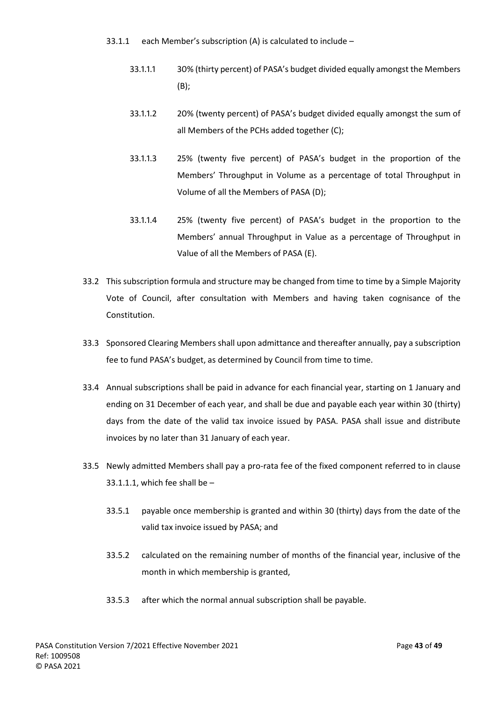- <span id="page-43-0"></span>33.1.1 each Member's subscription (A) is calculated to include –
	- 33.1.1.1 30% (thirty percent) of PASA's budget divided equally amongst the Members (B);
	- 33.1.1.2 20% (twenty percent) of PASA's budget divided equally amongst the sum of all Members of the PCHs added together (C);
	- 33.1.1.3 25% (twenty five percent) of PASA's budget in the proportion of the Members' Throughput in Volume as a percentage of total Throughput in Volume of all the Members of PASA (D);
	- 33.1.1.4 25% (twenty five percent) of PASA's budget in the proportion to the Members' annual Throughput in Value as a percentage of Throughput in Value of all the Members of PASA (E).
- 33.2 This subscription formula and structure may be changed from time to time by a Simple Majority Vote of Council, after consultation with Members and having taken cognisance of the Constitution.
- 33.3 Sponsored Clearing Members shall upon admittance and thereafter annually, pay a subscription fee to fund PASA's budget, as determined by Council from time to time.
- 33.4 Annual subscriptions shall be paid in advance for each financial year, starting on 1 January and ending on 31 December of each year, and shall be due and payable each year within 30 (thirty) days from the date of the valid tax invoice issued by PASA. PASA shall issue and distribute invoices by no later than 31 January of each year.
- 33.5 Newly admitted Members shall pay a pro-rata fee of the fixed component referred to in clause [33.1.1.1,](#page-43-0) which fee shall be  $-$ 
	- 33.5.1 payable once membership is granted and within 30 (thirty) days from the date of the valid tax invoice issued by PASA; and
	- 33.5.2 calculated on the remaining number of months of the financial year, inclusive of the month in which membership is granted,
	- 33.5.3 after which the normal annual subscription shall be payable.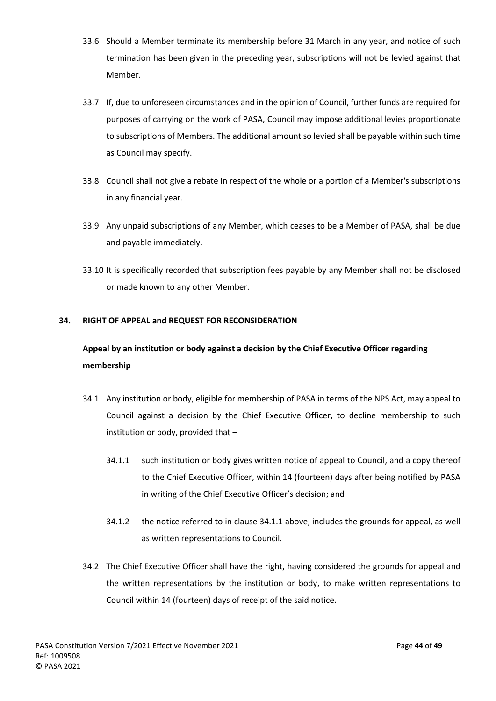- 33.6 Should a Member terminate its membership before 31 March in any year, and notice of such termination has been given in the preceding year, subscriptions will not be levied against that Member.
- 33.7 If, due to unforeseen circumstances and in the opinion of Council, further funds are required for purposes of carrying on the work of PASA, Council may impose additional levies proportionate to subscriptions of Members. The additional amount so levied shall be payable within such time as Council may specify.
- 33.8 Council shall not give a rebate in respect of the whole or a portion of a Member's subscriptions in any financial year.
- 33.9 Any unpaid subscriptions of any Member, which ceases to be a Member of PASA, shall be due and payable immediately.
- 33.10 It is specifically recorded that subscription fees payable by any Member shall not be disclosed or made known to any other Member.

## <span id="page-44-0"></span>**34. RIGHT OF APPEAL and REQUEST FOR RECONSIDERATION**

# **Appeal by an institution or body against a decision by the Chief Executive Officer regarding membership**

- 34.1 Any institution or body, eligible for membership of PASA in terms of the NPS Act, may appeal to Council against a decision by the Chief Executive Officer, to decline membership to such institution or body, provided that –
	- 34.1.1 such institution or body gives written notice of appeal to Council, and a copy thereof to the Chief Executive Officer, within 14 (fourteen) days after being notified by PASA in writing of the Chief Executive Officer's decision; and
	- 34.1.2 the notice referred to in clause 34.1.1 above, includes the grounds for appeal, as well as written representations to Council.
- 34.2 The Chief Executive Officer shall have the right, having considered the grounds for appeal and the written representations by the institution or body, to make written representations to Council within 14 (fourteen) days of receipt of the said notice.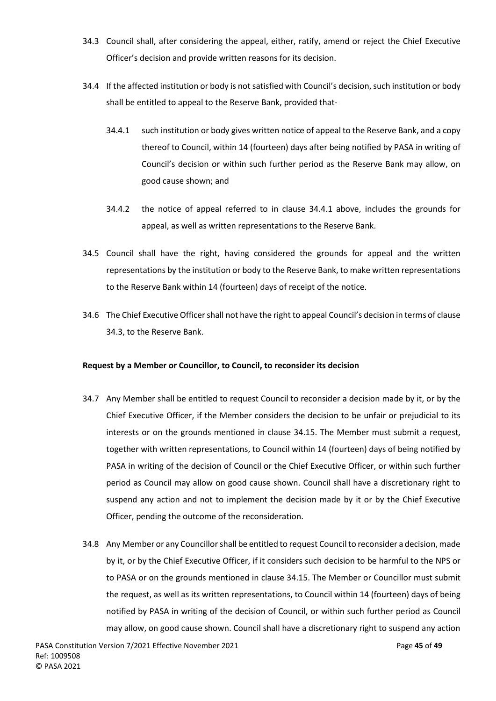- 34.3 Council shall, after considering the appeal, either, ratify, amend or reject the Chief Executive Officer's decision and provide written reasons for its decision.
- 34.4 If the affected institution or body is not satisfied with Council's decision, such institution or body shall be entitled to appeal to the Reserve Bank, provided that-
	- 34.4.1 such institution or body gives written notice of appeal to the Reserve Bank, and a copy thereof to Council, within 14 (fourteen) days after being notified by PASA in writing of Council's decision or within such further period as the Reserve Bank may allow, on good cause shown; and
	- 34.4.2 the notice of appeal referred to in clause 34.4.1 above, includes the grounds for appeal, as well as written representations to the Reserve Bank.
- 34.5 Council shall have the right, having considered the grounds for appeal and the written representations by the institution or body to the Reserve Bank, to make written representations to the Reserve Bank within 14 (fourteen) days of receipt of the notice.
- 34.6 The Chief Executive Officershall not have the right to appeal Council's decision in terms of clause 34.3, to the Reserve Bank.

## **Request by a Member or Councillor, to Council, to reconsider its decision**

- 34.7 Any Member shall be entitled to request Council to reconsider a decision made by it, or by the Chief Executive Officer, if the Member considers the decision to be unfair or prejudicial to its interests or on the grounds mentioned in clause 34.15. The Member must submit a request, together with written representations, to Council within 14 (fourteen) days of being notified by PASA in writing of the decision of Council or the Chief Executive Officer, or within such further period as Council may allow on good cause shown. Council shall have a discretionary right to suspend any action and not to implement the decision made by it or by the Chief Executive Officer, pending the outcome of the reconsideration.
- 34.8 Any Member or any Councillor shall be entitled to request Council to reconsider a decision, made by it, or by the Chief Executive Officer, if it considers such decision to be harmful to the NPS or to PASA or on the grounds mentioned in clause 34.15. The Member or Councillor must submit the request, as well as its written representations, to Council within 14 (fourteen) days of being notified by PASA in writing of the decision of Council, or within such further period as Council may allow, on good cause shown. Council shall have a discretionary right to suspend any action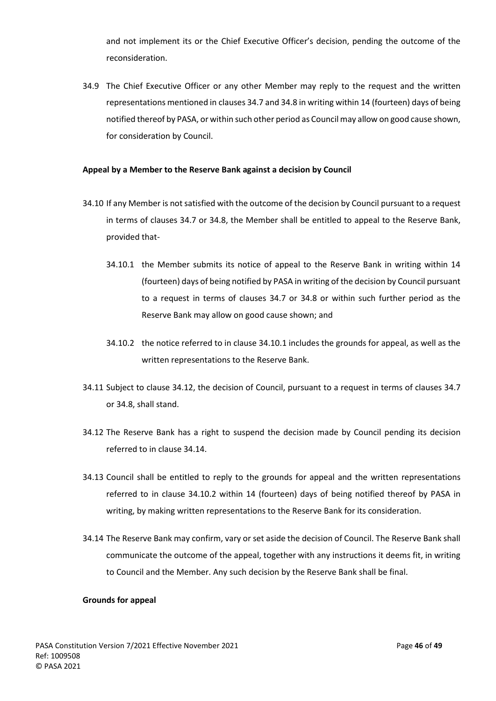and not implement its or the Chief Executive Officer's decision, pending the outcome of the reconsideration.

34.9 The Chief Executive Officer or any other Member may reply to the request and the written representations mentioned in clauses 34.7 and 34.8 in writing within 14 (fourteen) days of being notified thereof by PASA, or within such other period as Council may allow on good cause shown, for consideration by Council.

## **Appeal by a Member to the Reserve Bank against a decision by Council**

- 34.10 If any Member is not satisfied with the outcome of the decision by Council pursuant to a request in terms of clauses 34.7 or 34.8, the Member shall be entitled to appeal to the Reserve Bank, provided that-
	- 34.10.1 the Member submits its notice of appeal to the Reserve Bank in writing within 14 (fourteen) days of being notified by PASA in writing of the decision by Council pursuant to a request in terms of clauses 34.7 or 34.8 or within such further period as the Reserve Bank may allow on good cause shown; and
	- 34.10.2 the notice referred to in clause 34.10.1 includes the grounds for appeal, as well as the written representations to the Reserve Bank.
- 34.11 Subject to clause 34.12, the decision of Council, pursuant to a request in terms of clauses 34.7 or 34.8, shall stand.
- 34.12 The Reserve Bank has a right to suspend the decision made by Council pending its decision referred to in clause 34.14.
- 34.13 Council shall be entitled to reply to the grounds for appeal and the written representations referred to in clause 34.10.2 within 14 (fourteen) days of being notified thereof by PASA in writing, by making written representations to the Reserve Bank for its consideration.
- 34.14 The Reserve Bank may confirm, vary or set aside the decision of Council. The Reserve Bank shall communicate the outcome of the appeal, together with any instructions it deems fit, in writing to Council and the Member. Any such decision by the Reserve Bank shall be final.

#### **Grounds for appeal**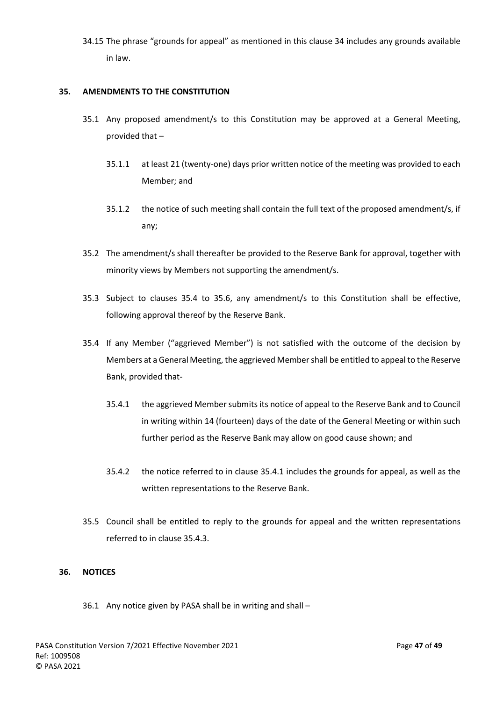34.15 The phrase "grounds for appeal" as mentioned in this clause 34 includes any grounds available in law.

## <span id="page-47-0"></span>**35. AMENDMENTS TO THE CONSTITUTION**

- 35.1 Any proposed amendment/s to this Constitution may be approved at a General Meeting, provided that –
	- 35.1.1 at least 21 (twenty-one) days prior written notice of the meeting was provided to each Member; and
	- 35.1.2 the notice of such meeting shall contain the full text of the proposed amendment/s, if any;
- 35.2 The amendment/s shall thereafter be provided to the Reserve Bank for approval, together with minority views by Members not supporting the amendment/s.
- 35.3 Subject to clauses 35.4 to 35.6, any amendment/s to this Constitution shall be effective, following approval thereof by the Reserve Bank.
- 35.4 If any Member ("aggrieved Member") is not satisfied with the outcome of the decision by Members at a General Meeting, the aggrieved Member shall be entitled to appeal to the Reserve Bank, provided that-
	- 35.4.1 the aggrieved Member submits its notice of appeal to the Reserve Bank and to Council in writing within 14 (fourteen) days of the date of the General Meeting or within such further period as the Reserve Bank may allow on good cause shown; and
	- 35.4.2 the notice referred to in clause 35.4.1 includes the grounds for appeal, as well as the written representations to the Reserve Bank.
- 35.5 Council shall be entitled to reply to the grounds for appeal and the written representations referred to in clause 35.4.3.

## <span id="page-47-1"></span>**36. NOTICES**

36.1 Any notice given by PASA shall be in writing and shall –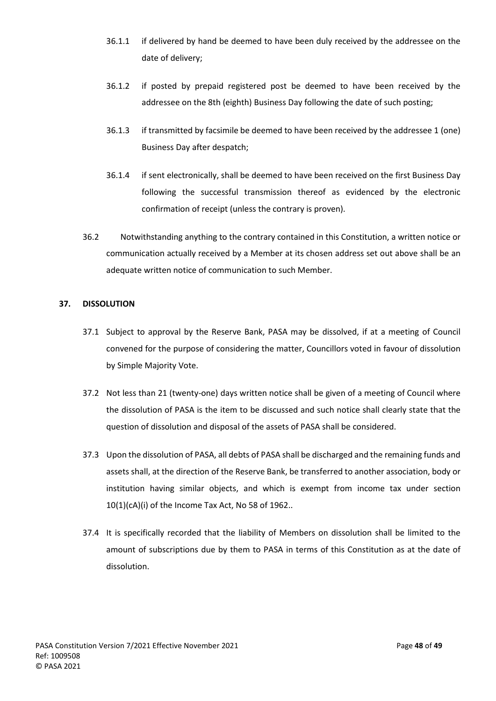- 36.1.1 if delivered by hand be deemed to have been duly received by the addressee on the date of delivery;
- 36.1.2 if posted by prepaid registered post be deemed to have been received by the addressee on the 8th (eighth) Business Day following the date of such posting;
- 36.1.3 if transmitted by facsimile be deemed to have been received by the addressee 1 (one) Business Day after despatch;
- 36.1.4 if sent electronically, shall be deemed to have been received on the first Business Day following the successful transmission thereof as evidenced by the electronic confirmation of receipt (unless the contrary is proven).
- 36.2 Notwithstanding anything to the contrary contained in this Constitution, a written notice or communication actually received by a Member at its chosen address set out above shall be an adequate written notice of communication to such Member.

## <span id="page-48-0"></span>**37. DISSOLUTION**

- 37.1 Subject to approval by the Reserve Bank, PASA may be dissolved, if at a meeting of Council convened for the purpose of considering the matter, Councillors voted in favour of dissolution by Simple Majority Vote.
- 37.2 Not less than 21 (twenty-one) days written notice shall be given of a meeting of Council where the dissolution of PASA is the item to be discussed and such notice shall clearly state that the question of dissolution and disposal of the assets of PASA shall be considered.
- 37.3 Upon the dissolution of PASA, all debts of PASA shall be discharged and the remaining funds and assets shall, at the direction of the Reserve Bank, be transferred to another association, body or institution having similar objects, and which is exempt from income tax under section 10(1)(cA)(i) of the Income Tax Act, No 58 of 1962..
- 37.4 It is specifically recorded that the liability of Members on dissolution shall be limited to the amount of subscriptions due by them to PASA in terms of this Constitution as at the date of dissolution.